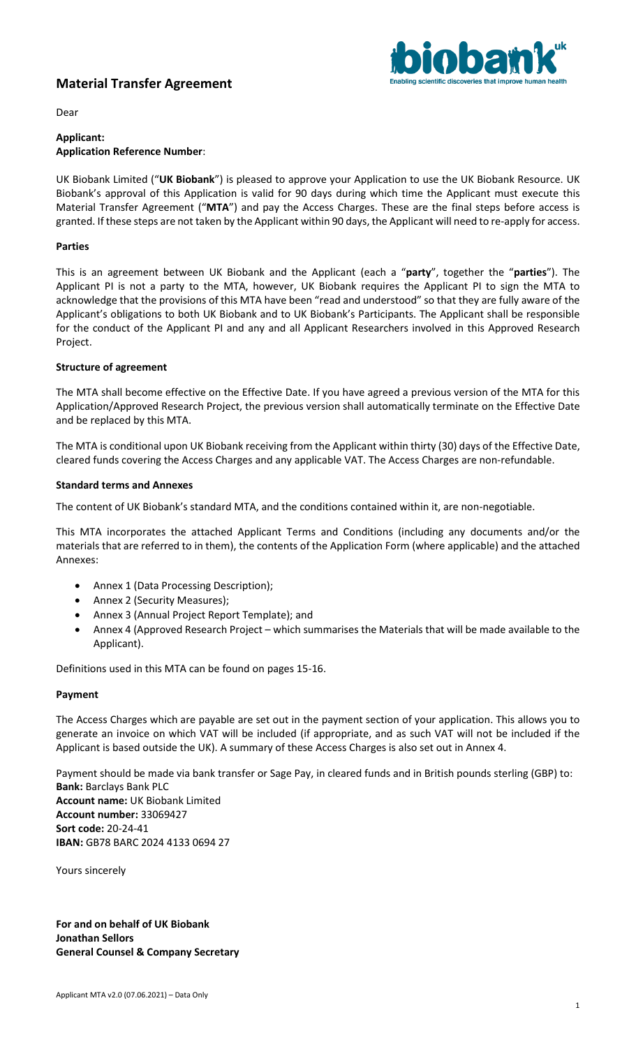# **Material Transfer Agreement**



Dear

### **Applicant: Application Reference Number**:

UK Biobank Limited ("**UK Biobank**") is pleased to approve your Application to use the UK Biobank Resource. UK Biobank's approval of this Application is valid for 90 days during which time the Applicant must execute this Material Transfer Agreement ("**MTA**") and pay the Access Charges. These are the final steps before access is granted. If these steps are not taken by the Applicant within 90 days, the Applicant will need to re-apply for access.

## **Parties**

This is an agreement between UK Biobank and the Applicant (each a "**party**", together the "**parties**"). The Applicant PI is not a party to the MTA, however, UK Biobank requires the Applicant PI to sign the MTA to acknowledge that the provisions of this MTA have been "read and understood" so that they are fully aware of the Applicant's obligations to both UK Biobank and to UK Biobank's Participants. The Applicant shall be responsible for the conduct of the Applicant PI and any and all Applicant Researchers involved in this Approved Research Project.

# **Structure of agreement**

The MTA shall become effective on the Effective Date. If you have agreed a previous version of the MTA for this Application/Approved Research Project, the previous version shall automatically terminate on the Effective Date and be replaced by this MTA.

The MTA is conditional upon UK Biobank receiving from the Applicant within thirty (30) days of the Effective Date, cleared funds covering the Access Charges and any applicable VAT. The Access Charges are non-refundable.

## **Standard terms and Annexes**

The content of UK Biobank's standard MTA, and the conditions contained within it, are non-negotiable.

This MTA incorporates the attached Applicant Terms and Conditions (including any documents and/or the materials that are referred to in them), the contents of the Application Form (where applicable) and the attached Annexes:

- Annex 1 (Data Processing Description);
- Annex 2 (Security Measures);
- Annex 3 (Annual Project Report Template); and
- Annex 4 (Approved Research Project which summarises the Materials that will be made available to the Applicant).

Definitions used in this MTA can be found on pages 15-16.

### **Payment**

The Access Charges which are payable are set out in the payment section of your application. This allows you to generate an invoice on which VAT will be included (if appropriate, and as such VAT will not be included if the Applicant is based outside the UK). A summary of these Access Charges is also set out in Annex 4.

Payment should be made via bank transfer or Sage Pay, in cleared funds and in British pounds sterling (GBP) to: **Bank:** Barclays Bank PLC **Account name:** UK Biobank Limited **Account number:** 33069427 **Sort code:** 20-24-41 **IBAN:** GB78 BARC 2024 4133 0694 27

Yours sincerely

**For and on behalf of UK Biobank Jonathan Sellors General Counsel & Company Secretary**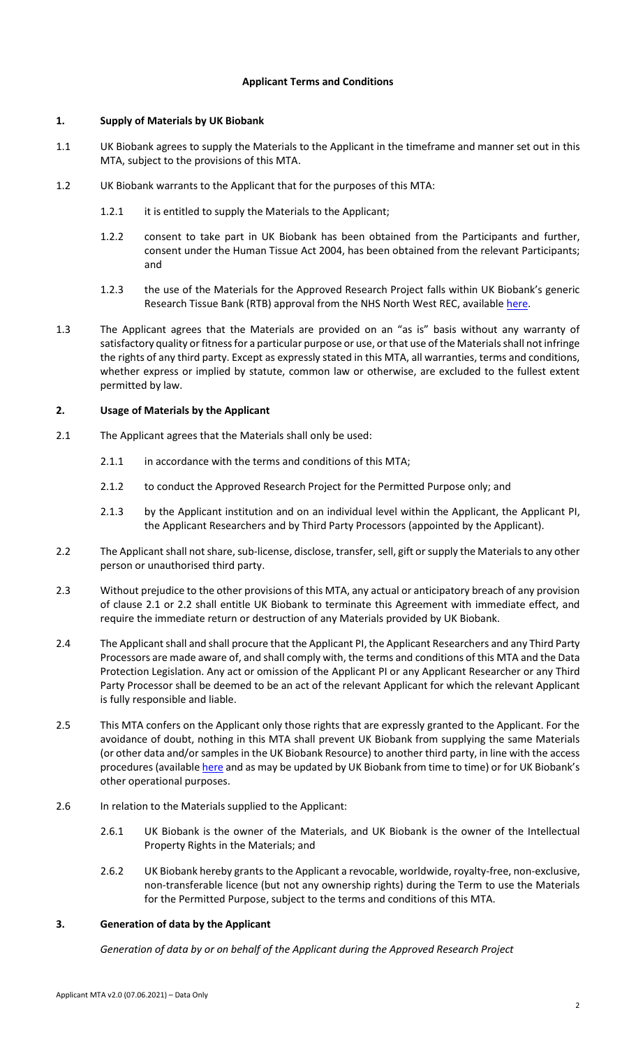### **Applicant Terms and Conditions**

# **1. Supply of Materials by UK Biobank**

- 1.1 UK Biobank agrees to supply the Materials to the Applicant in the timeframe and manner set out in this MTA, subject to the provisions of this MTA.
- 1.2 UK Biobank warrants to the Applicant that for the purposes of this MTA:
	- 1.2.1 it is entitled to supply the Materials to the Applicant;
	- 1.2.2 consent to take part in UK Biobank has been obtained from the Participants and further, consent under the Human Tissue Act 2004, has been obtained from the relevant Participants; and
	- 1.2.3 the use of the Materials for the Approved Research Project falls within UK Biobank's generic Research Tissue Bank (RTB) approval from the NHS North West REC, availabl[e here.](https://ukbiobank.ac.uk/media/cgjh1ohn/favourable-ethical-opinion-and-rtb-approval-16-nw-0274-200778-may-2016.pdf)
- 1.3 The Applicant agrees that the Materials are provided on an "as is" basis without any warranty of satisfactory quality or fitness for a particular purpose or use, or that use of the Materials shall not infringe the rights of any third party. Except as expressly stated in this MTA, all warranties, terms and conditions, whether express or implied by statute, common law or otherwise, are excluded to the fullest extent permitted by law.

## **2. Usage of Materials by the Applicant**

- 2.1 The Applicant agrees that the Materials shall only be used:
	- 2.1.1 in accordance with the terms and conditions of this MTA;
	- 2.1.2 to conduct the Approved Research Project for the Permitted Purpose only; and
	- 2.1.3 by the Applicant institution and on an individual level within the Applicant, the Applicant PI, the Applicant Researchers and by Third Party Processors (appointed by the Applicant).
- 2.2 The Applicant shall not share, sub-license, disclose, transfer, sell, gift or supply the Materials to any other person or unauthorised third party.
- 2.3 Without prejudice to the other provisions of this MTA, any actual or anticipatory breach of any provision of clause 2.1 or 2.2 shall entitle UK Biobank to terminate this Agreement with immediate effect, and require the immediate return or destruction of any Materials provided by UK Biobank.
- 2.4 The Applicant shall and shall procure that the Applicant PI, the Applicant Researchers and any Third Party Processors are made aware of, and shall comply with, the terms and conditions of this MTA and the Data Protection Legislation. Any act or omission of the Applicant PI or any Applicant Researcher or any Third Party Processor shall be deemed to be an act of the relevant Applicant for which the relevant Applicant is fully responsible and liable.
- 2.5 This MTA confers on the Applicant only those rights that are expressly granted to the Applicant. For the avoidance of doubt, nothing in this MTA shall prevent UK Biobank from supplying the same Materials (or other data and/or samples in the UK Biobank Resource) to another third party, in line with the access procedures (availabl[e here](https://www.ukbiobank.ac.uk/enable-your-research/apply-for-access) and as may be updated by UK Biobank from time to time) or for UK Biobank's other operational purposes.
- 2.6 In relation to the Materials supplied to the Applicant:
	- 2.6.1 UK Biobank is the owner of the Materials, and UK Biobank is the owner of the Intellectual Property Rights in the Materials; and
	- 2.6.2 UK Biobank hereby grants to the Applicant a revocable, worldwide, royalty-free, non-exclusive, non-transferable licence (but not any ownership rights) during the Term to use the Materials for the Permitted Purpose, subject to the terms and conditions of this MTA.

# **3. Generation of data by the Applicant**

*Generation of data by or on behalf of the Applicant during the Approved Research Project*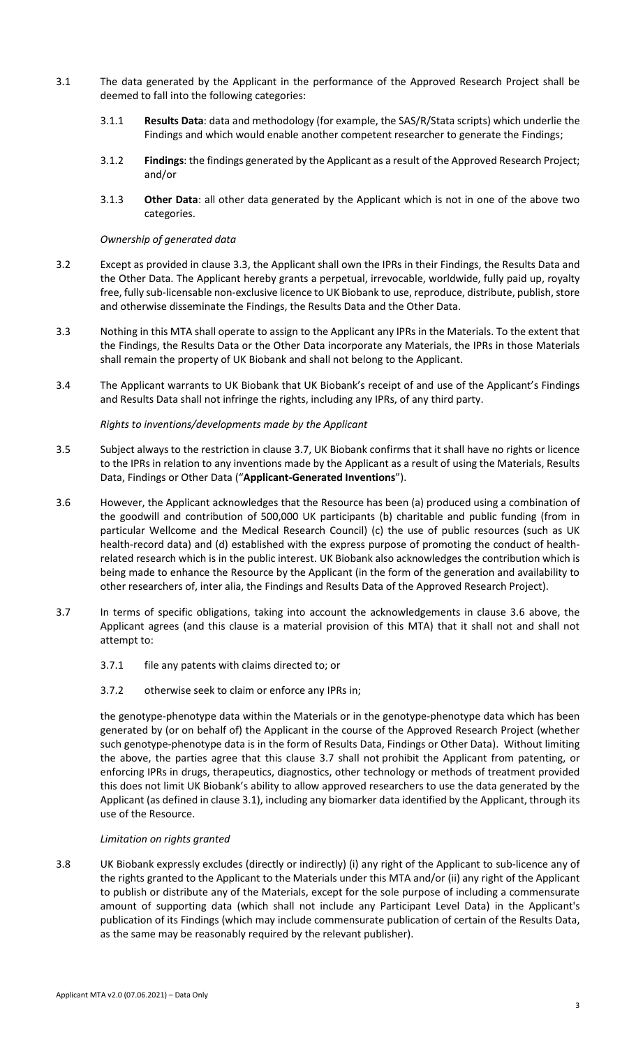- 3.1 The data generated by the Applicant in the performance of the Approved Research Project shall be deemed to fall into the following categories:
	- 3.1.1 **Results Data**: data and methodology (for example, the SAS/R/Stata scripts) which underlie the Findings and which would enable another competent researcher to generate the Findings;
	- 3.1.2 **Findings**: the findings generated by the Applicant as a result of the Approved Research Project; and/or
	- 3.1.3 **Other Data**: all other data generated by the Applicant which is not in one of the above two categories.

#### *Ownership of generated data*

- 3.2 Except as provided in claus[e 3.3,](#page-2-0) the Applicant shall own the IPRs in their Findings, the Results Data and the Other Data. The Applicant hereby grants a perpetual, irrevocable, worldwide, fully paid up, royalty free, fully sub-licensable non-exclusive licence to UK Biobank to use, reproduce, distribute, publish, store and otherwise disseminate the Findings, the Results Data and the Other Data.
- <span id="page-2-0"></span>3.3 Nothing in this MTA shall operate to assign to the Applicant any IPRs in the Materials. To the extent that the Findings, the Results Data or the Other Data incorporate any Materials, the IPRs in those Materials shall remain the property of UK Biobank and shall not belong to the Applicant.
- 3.4 The Applicant warrants to UK Biobank that UK Biobank's receipt of and use of the Applicant's Findings and Results Data shall not infringe the rights, including any IPRs, of any third party.

#### *Rights to inventions/developments made by the Applicant*

- 3.5 Subject always to the restriction in clause [3.7,](#page-2-1) UK Biobank confirms that it shall have no rights or licence to the IPRs in relation to any inventions made by the Applicant as a result of using the Materials, Results Data, Findings or Other Data ("**Applicant-Generated Inventions**").
- 3.6 However, the Applicant acknowledges that the Resource has been (a) produced using a combination of the goodwill and contribution of 500,000 UK participants (b) charitable and public funding (from in particular Wellcome and the Medical Research Council) (c) the use of public resources (such as UK health-record data) and (d) established with the express purpose of promoting the conduct of healthrelated research which is in the public interest. UK Biobank also acknowledges the contribution which is being made to enhance the Resource by the Applicant (in the form of the generation and availability to other researchers of, inter alia, the Findings and Results Data of the Approved Research Project).
- <span id="page-2-1"></span>3.7 In terms of specific obligations, taking into account the acknowledgements in clause 3.6 above, the Applicant agrees (and this clause is a material provision of this MTA) that it shall not and shall not attempt to:
	- 3.7.1 file any patents with claims directed to; or
	- 3.7.2 otherwise seek to claim or enforce any IPRs in;

the genotype-phenotype data within the Materials or in the genotype-phenotype data which has been generated by (or on behalf of) the Applicant in the course of the Approved Research Project (whether such genotype-phenotype data is in the form of Results Data, Findings or Other Data). Without limiting the above, the parties agree that this clause [3.7](#page-2-1) shall not prohibit the Applicant from patenting, or enforcing IPRs in drugs, therapeutics, diagnostics, other technology or methods of treatment provided this does not limit UK Biobank's ability to allow approved researchers to use the data generated by the Applicant (as defined in clause 3.1), including any biomarker data identified by the Applicant, through its use of the Resource.

### *Limitation on rights granted*

3.8 UK Biobank expressly excludes (directly or indirectly) (i) any right of the Applicant to sub-licence any of the rights granted to the Applicant to the Materials under this MTA and/or (ii) any right of the Applicant to publish or distribute any of the Materials, except for the sole purpose of including a commensurate amount of supporting data (which shall not include any Participant Level Data) in the Applicant's publication of its Findings (which may include commensurate publication of certain of the Results Data, as the same may be reasonably required by the relevant publisher).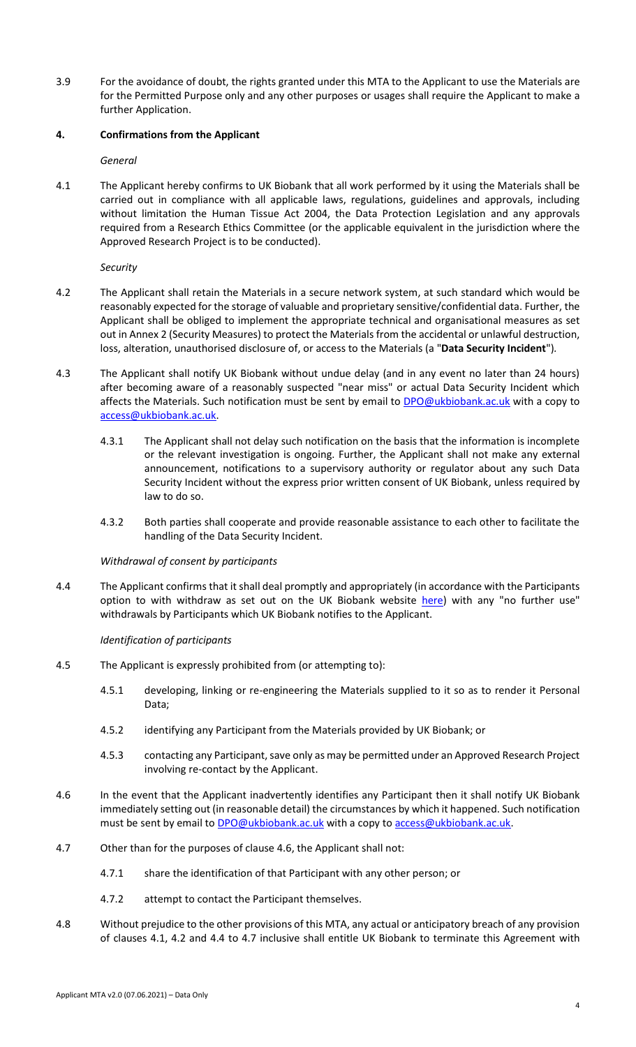3.9 For the avoidance of doubt, the rights granted under this MTA to the Applicant to use the Materials are for the Permitted Purpose only and any other purposes or usages shall require the Applicant to make a further Application.

## **4. Confirmations from the Applicant**

*General*

4.1 The Applicant hereby confirms to UK Biobank that all work performed by it using the Materials shall be carried out in compliance with all applicable laws, regulations, guidelines and approvals, including without limitation the Human Tissue Act 2004, the Data Protection Legislation and any approvals required from a Research Ethics Committee (or the applicable equivalent in the jurisdiction where the Approved Research Project is to be conducted).

*Security* 

- 4.2 The Applicant shall retain the Materials in a secure network system, at such standard which would be reasonably expected for the storage of valuable and proprietary sensitive/confidential data. Further, the Applicant shall be obliged to implement the appropriate technical and organisational measures as set out in Annex 2 (Security Measures) to protect the Materials from the accidental or unlawful destruction, loss, alteration, unauthorised disclosure of, or access to the Materials (a "**Data Security Incident**")*.*
- 4.3 The Applicant shall notify UK Biobank without undue delay (and in any event no later than 24 hours) after becoming aware of a reasonably suspected "near miss" or actual Data Security Incident which affects the Materials. Such notification must be sent by email to **DPO@ukbiobank.ac.uk** with a copy to [access@ukbiobank.ac.uk.](mailto:access@ukbiobank.ac.uk)
	- 4.3.1 The Applicant shall not delay such notification on the basis that the information is incomplete or the relevant investigation is ongoing. Further, the Applicant shall not make any external announcement, notifications to a supervisory authority or regulator about any such Data Security Incident without the express prior written consent of UK Biobank, unless required by law to do so.
	- 4.3.2 Both parties shall cooperate and provide reasonable assistance to each other to facilitate the handling of the Data Security Incident.

### *Withdrawal of consent by participants*

4.4 The Applicant confirms that it shall deal promptly and appropriately (in accordance with the Participants option to with withdraw as set out on the UK Biobank website [here\)](https://ukbiobank.ac.uk/explore-your-participation/basis-of-your-participation) with any "no further use" withdrawals by Participants which UK Biobank notifies to the Applicant.

### *Identification of participants*

- 4.5 The Applicant is expressly prohibited from (or attempting to):
	- 4.5.1 developing, linking or re-engineering the Materials supplied to it so as to render it Personal Data;
	- 4.5.2 identifying any Participant from the Materials provided by UK Biobank; or
	- 4.5.3 contacting any Participant, save only as may be permitted under an Approved Research Project involving re-contact by the Applicant.
- 4.6 In the event that the Applicant inadvertently identifies any Participant then it shall notify UK Biobank immediately setting out (in reasonable detail) the circumstances by which it happened. Such notification must be sent by email to **DPO@ukbiobank.ac.uk** with a copy to **access@ukbiobank.ac.uk**.
- 4.7 Other than for the purposes of clause 4.6, the Applicant shall not:
	- 4.7.1 share the identification of that Participant with any other person; or
	- 4.7.2 attempt to contact the Participant themselves.
- 4.8 Without prejudice to the other provisions of this MTA, any actual or anticipatory breach of any provision of clauses 4.1, 4.2 and 4.4 to 4.7 inclusive shall entitle UK Biobank to terminate this Agreement with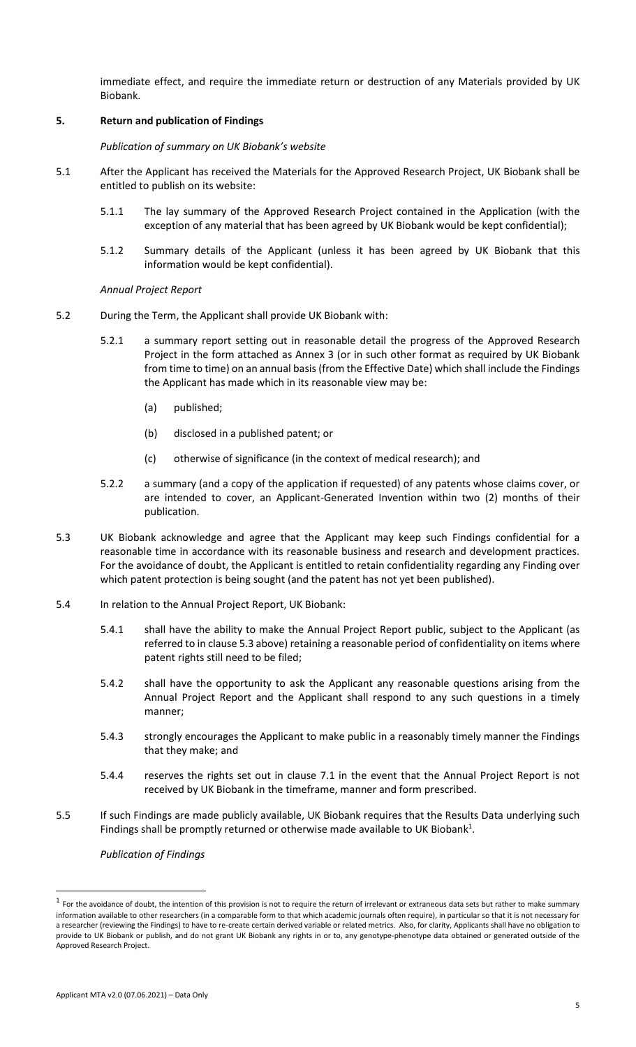immediate effect, and require the immediate return or destruction of any Materials provided by UK Biobank.

## **5. Return and publication of Findings**

### *Publication of summary on UK Biobank's website*

- 5.1 After the Applicant has received the Materials for the Approved Research Project, UK Biobank shall be entitled to publish on its website:
	- 5.1.1 The lay summary of the Approved Research Project contained in the Application (with the exception of any material that has been agreed by UK Biobank would be kept confidential);
	- 5.1.2 Summary details of the Applicant (unless it has been agreed by UK Biobank that this information would be kept confidential).

## *Annual Project Report*

- 5.2 During the Term, the Applicant shall provide UK Biobank with:
	- 5.2.1 a summary report setting out in reasonable detail the progress of the Approved Research Project in the form attached as Annex 3 (or in such other format as required by UK Biobank from time to time) on an annual basis (from the Effective Date) which shall include the Findings the Applicant has made which in its reasonable view may be:
		- (a) published;
		- (b) disclosed in a published patent; or
		- (c) otherwise of significance (in the context of medical research); and
	- 5.2.2 a summary (and a copy of the application if requested) of any patents whose claims cover, or are intended to cover, an Applicant-Generated Invention within two (2) months of their publication.
- 5.3 UK Biobank acknowledge and agree that the Applicant may keep such Findings confidential for a reasonable time in accordance with its reasonable business and research and development practices. For the avoidance of doubt, the Applicant is entitled to retain confidentiality regarding any Finding over which patent protection is being sought (and the patent has not yet been published).
- 5.4 In relation to the Annual Project Report, UK Biobank:
	- 5.4.1 shall have the ability to make the Annual Project Report public, subject to the Applicant (as referred to in clause 5.3 above) retaining a reasonable period of confidentiality on items where patent rights still need to be filed;
	- 5.4.2 shall have the opportunity to ask the Applicant any reasonable questions arising from the Annual Project Report and the Applicant shall respond to any such questions in a timely manner;
	- 5.4.3 strongly encourages the Applicant to make public in a reasonably timely manner the Findings that they make; and
	- 5.4.4 reserves the rights set out in clause 7.1 in the event that the Annual Project Report is not received by UK Biobank in the timeframe, manner and form prescribed.
- 5.5 If such Findings are made publicly available, UK Biobank requires that the Results Data underlying such Findings shall be promptly returned or otherwise made available to UK Biobank<sup>1</sup>.

*Publication of Findings* 

l

 $^1$  For the avoidance of doubt, the intention of this provision is not to require the return of irrelevant or extraneous data sets but rather to make summary information available to other researchers (in a comparable form to that which academic journals often require), in particular so that it is not necessary for a researcher (reviewing the Findings) to have to re-create certain derived variable or related metrics. Also, for clarity, Applicants shall have no obligation to provide to UK Biobank or publish, and do not grant UK Biobank any rights in or to, any genotype-phenotype data obtained or generated outside of the Approved Research Project.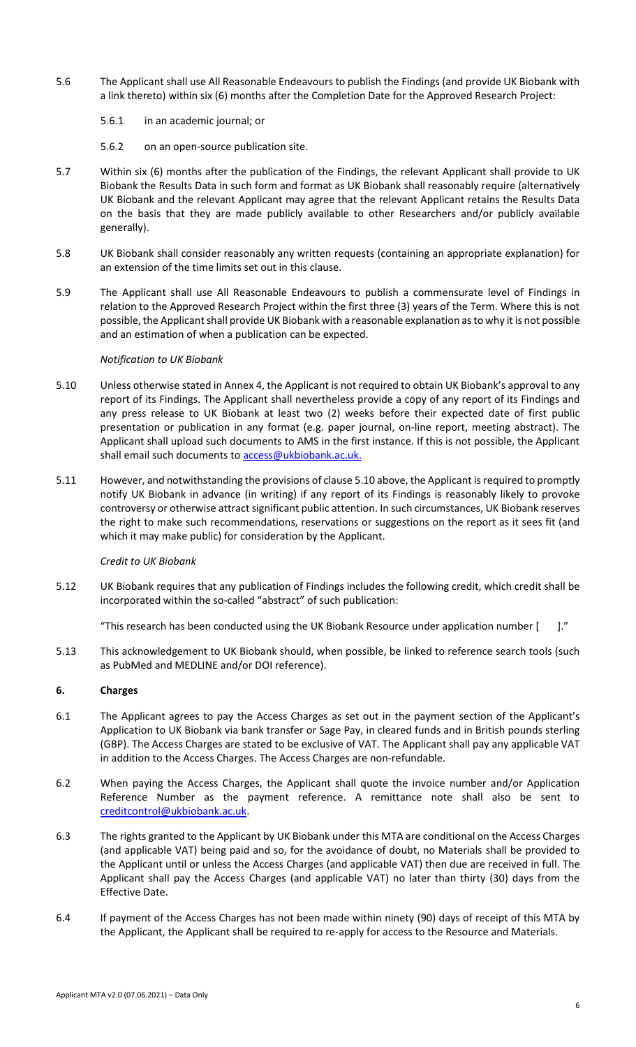- 5.6 The Applicant shall use All Reasonable Endeavours to publish the Findings (and provide UK Biobank with a link thereto) within six (6) months after the Completion Date for the Approved Research Project:
	- 5.6.1 in an academic journal; or
	- 5.6.2 on an open-source publication site.
- 5.7 Within six (6) months after the publication of the Findings, the relevant Applicant shall provide to UK Biobank the Results Data in such form and format as UK Biobank shall reasonably require (alternatively UK Biobank and the relevant Applicant may agree that the relevant Applicant retains the Results Data on the basis that they are made publicly available to other Researchers and/or publicly available generally).
- 5.8 UK Biobank shall consider reasonably any written requests (containing an appropriate explanation) for an extension of the time limits set out in this clause.
- 5.9 The Applicant shall use All Reasonable Endeavours to publish a commensurate level of Findings in relation to the Approved Research Project within the first three (3) years of the Term. Where this is not possible, the Applicant shall provide UK Biobank with a reasonable explanation as to why it is not possible and an estimation of when a publication can be expected.

### *Notification to UK Biobank*

- 5.10 Unless otherwise stated in Annex 4, the Applicant is not required to obtain UK Biobank's approval to any report of its Findings. The Applicant shall nevertheless provide a copy of any report of its Findings and any press release to UK Biobank at least two (2) weeks before their expected date of first public presentation or publication in any format (e.g. paper journal, on-line report, meeting abstract). The Applicant shall upload such documents to AMS in the first instance. If this is not possible, the Applicant shall email such documents to **access@ukbiobank.ac.uk.**
- 5.11 However, and notwithstanding the provisions of clause 5.10 above, the Applicant is required to promptly notify UK Biobank in advance (in writing) if any report of its Findings is reasonably likely to provoke controversy or otherwise attract significant public attention. In such circumstances, UK Biobank reserves the right to make such recommendations, reservations or suggestions on the report as it sees fit (and which it may make public) for consideration by the Applicant.

### *Credit to UK Biobank*

5.12 UK Biobank requires that any publication of Findings includes the following credit, which credit shall be incorporated within the so-called "abstract" of such publication:

"This research has been conducted using the UK Biobank Resource under application number  $[$  ]."

5.13 This acknowledgement to UK Biobank should, when possible, be linked to reference search tools (such as PubMed and MEDLINE and/or DOI reference).

# **6. Charges**

- 6.1 The Applicant agrees to pay the Access Charges as set out in the payment section of the Applicant's Application to UK Biobank via bank transfer or Sage Pay, in cleared funds and in British pounds sterling (GBP). The Access Charges are stated to be exclusive of VAT. The Applicant shall pay any applicable VAT in addition to the Access Charges. The Access Charges are non-refundable.
- 6.2 When paying the Access Charges, the Applicant shall quote the invoice number and/or Application Reference Number as the payment reference. A remittance note shall also be sent to [creditcontrol@ukbiobank.ac.uk.](mailto:creditcontrol@ukbiobank.ac.uk)
- 6.3 The rights granted to the Applicant by UK Biobank under this MTA are conditional on the Access Charges (and applicable VAT) being paid and so, for the avoidance of doubt, no Materials shall be provided to the Applicant until or unless the Access Charges (and applicable VAT) then due are received in full. The Applicant shall pay the Access Charges (and applicable VAT) no later than thirty (30) days from the Effective Date.
- 6.4 If payment of the Access Charges has not been made within ninety (90) days of receipt of this MTA by the Applicant, the Applicant shall be required to re-apply for access to the Resource and Materials.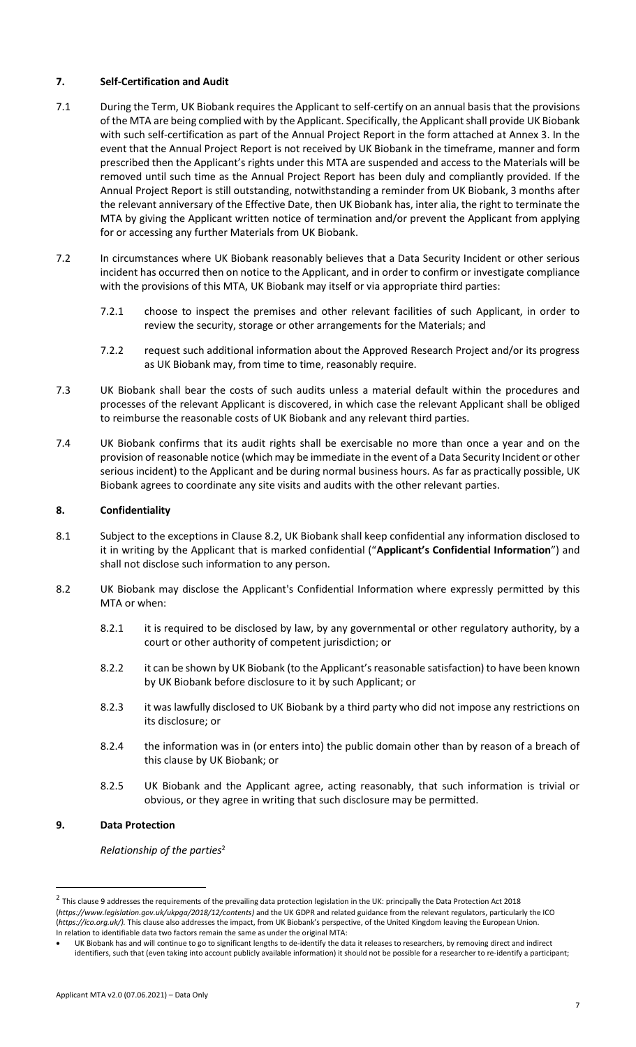## **7. Self-Certification and Audit**

- 7.1 During the Term, UK Biobank requires the Applicant to self-certify on an annual basis that the provisions of the MTA are being complied with by the Applicant. Specifically, the Applicant shall provide UK Biobank with such self-certification as part of the Annual Project Report in the form attached at Annex 3. In the event that the Annual Project Report is not received by UK Biobank in the timeframe, manner and form prescribed then the Applicant's rights under this MTA are suspended and access to the Materials will be removed until such time as the Annual Project Report has been duly and compliantly provided. If the Annual Project Report is still outstanding, notwithstanding a reminder from UK Biobank, 3 months after the relevant anniversary of the Effective Date, then UK Biobank has, inter alia, the right to terminate the MTA by giving the Applicant written notice of termination and/or prevent the Applicant from applying for or accessing any further Materials from UK Biobank.
- 7.2 In circumstances where UK Biobank reasonably believes that a Data Security Incident or other serious incident has occurred then on notice to the Applicant, and in order to confirm or investigate compliance with the provisions of this MTA, UK Biobank may itself or via appropriate third parties:
	- 7.2.1 choose to inspect the premises and other relevant facilities of such Applicant, in order to review the security, storage or other arrangements for the Materials; and
	- 7.2.2 request such additional information about the Approved Research Project and/or its progress as UK Biobank may, from time to time, reasonably require.
- 7.3 UK Biobank shall bear the costs of such audits unless a material default within the procedures and processes of the relevant Applicant is discovered, in which case the relevant Applicant shall be obliged to reimburse the reasonable costs of UK Biobank and any relevant third parties.
- 7.4 UK Biobank confirms that its audit rights shall be exercisable no more than once a year and on the provision of reasonable notice (which may be immediate in the event of a Data Security Incident or other serious incident) to the Applicant and be during normal business hours. As far as practically possible, UK Biobank agrees to coordinate any site visits and audits with the other relevant parties.

## **8. Confidentiality**

- 8.1 Subject to the exceptions in Clause 8.2, UK Biobank shall keep confidential any information disclosed to it in writing by the Applicant that is marked confidential ("**Applicant's Confidential Information**") and shall not disclose such information to any person.
- 8.2 UK Biobank may disclose the Applicant's Confidential Information where expressly permitted by this MTA or when:
	- 8.2.1 it is required to be disclosed by law, by any governmental or other regulatory authority, by a court or other authority of competent jurisdiction; or
	- 8.2.2 it can be shown by UK Biobank (to the Applicant's reasonable satisfaction) to have been known by UK Biobank before disclosure to it by such Applicant; or
	- 8.2.3 it was lawfully disclosed to UK Biobank by a third party who did not impose any restrictions on its disclosure; or
	- 8.2.4 the information was in (or enters into) the public domain other than by reason of a breach of this clause by UK Biobank; or
	- 8.2.5 UK Biobank and the Applicant agree, acting reasonably, that such information is trivial or obvious, or they agree in writing that such disclosure may be permitted.

# **9. Data Protection**

 $\overline{\phantom{a}}$ 

*Relationship of the parties*<sup>2</sup>

 $^2$  This clause 9 addresses the requirements of the prevailing data protection legislation in the UK: principally the Data Protection Act 2018 (*https://www.legislation.gov.uk/ukpga/2018/12/contents)* and the UK GDPR and related guidance from the relevant regulators, particularly the ICO (*https://ico.org.uk/).* This clause also addresses the impact, from UK Biobank's perspective, of the United Kingdom leaving the European Union. In relation to identifiable data two factors remain the same as under the original MTA:

UK Biobank has and will continue to go to significant lengths to de-identify the data it releases to researchers, by removing direct and indirect identifiers, such that (even taking into account publicly available information) it should not be possible for a researcher to re-identify a participant;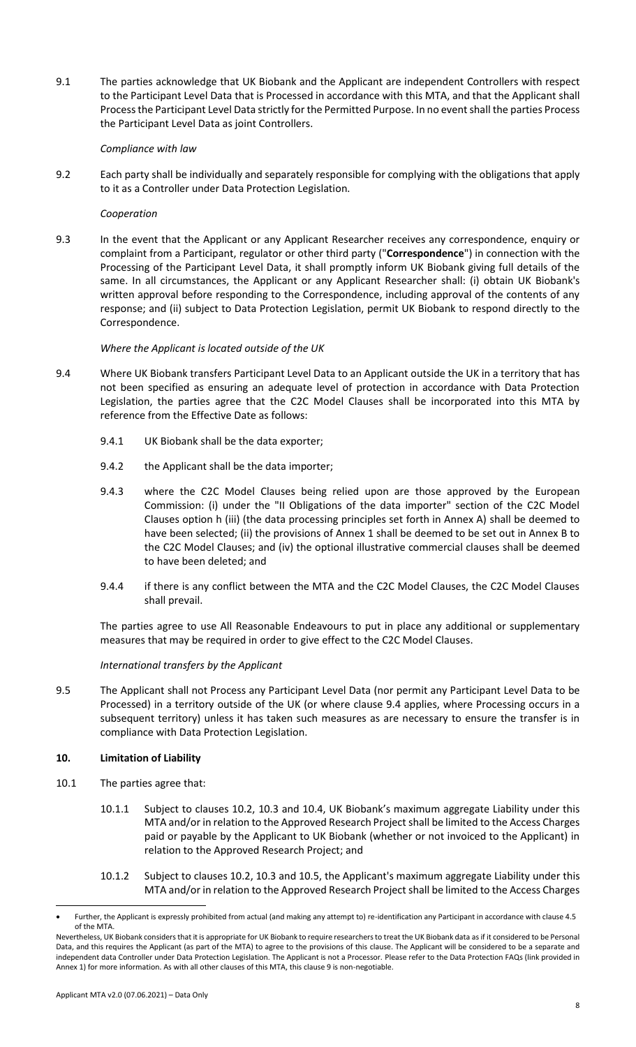9.1 The parties acknowledge that UK Biobank and the Applicant are independent Controllers with respect to the Participant Level Data that is Processed in accordance with this MTA, and that the Applicant shall Process the Participant Level Data strictly for the Permitted Purpose. In no event shall the parties Process the Participant Level Data as joint Controllers.

#### *Compliance with law*

9.2 Each party shall be individually and separately responsible for complying with the obligations that apply to it as a Controller under Data Protection Legislation.

### *Cooperation*

9.3 In the event that the Applicant or any Applicant Researcher receives any correspondence, enquiry or complaint from a Participant, regulator or other third party ("**Correspondence**") in connection with the Processing of the Participant Level Data, it shall promptly inform UK Biobank giving full details of the same. In all circumstances, the Applicant or any Applicant Researcher shall: (i) obtain UK Biobank's written approval before responding to the Correspondence, including approval of the contents of any response; and (ii) subject to Data Protection Legislation, permit UK Biobank to respond directly to the Correspondence.

### *Where the Applicant is located outside of the UK*

- 9.4 Where UK Biobank transfers Participant Level Data to an Applicant outside the UK in a territory that has not been specified as ensuring an adequate level of protection in accordance with Data Protection Legislation, the parties agree that the C2C Model Clauses shall be incorporated into this MTA by reference from the Effective Date as follows:
	- 9.4.1 UK Biobank shall be the data exporter;
	- 9.4.2 the Applicant shall be the data importer;
	- 9.4.3 where the C2C Model Clauses being relied upon are those approved by the European Commission: (i) under the "II Obligations of the data importer" section of the C2C Model Clauses option h (iii) (the data processing principles set forth in Annex A) shall be deemed to have been selected; (ii) the provisions of Annex 1 shall be deemed to be set out in Annex B to the C2C Model Clauses; and (iv) the optional illustrative commercial clauses shall be deemed to have been deleted; and
	- 9.4.4 if there is any conflict between the MTA and the C2C Model Clauses, the C2C Model Clauses shall prevail.

The parties agree to use All Reasonable Endeavours to put in place any additional or supplementary measures that may be required in order to give effect to the C2C Model Clauses.

### *International transfers by the Applicant*

9.5 The Applicant shall not Process any Participant Level Data (nor permit any Participant Level Data to be Processed) in a territory outside of the UK (or where clause 9.4 applies, where Processing occurs in a subsequent territory) unless it has taken such measures as are necessary to ensure the transfer is in compliance with Data Protection Legislation.

### **10. Limitation of Liability**

- 10.1 The parties agree that:
	- 10.1.1 Subject to clauses 10.2, 10.3 and 10.4, UK Biobank's maximum aggregate Liability under this MTA and/or in relation to the Approved Research Project shall be limited to the Access Charges paid or payable by the Applicant to UK Biobank (whether or not invoiced to the Applicant) in relation to the Approved Research Project; and
	- 10.1.2 Subject to clauses 10.2, 10.3 and 10.5, the Applicant's maximum aggregate Liability under this MTA and/or in relation to the Approved Research Project shall be limited to the Access Charges

 $\overline{a}$ 

Further, the Applicant is expressly prohibited from actual (and making any attempt to) re-identification any Participant in accordance with clause 4.5 of the MTA.

Nevertheless, UK Biobank considers that it is appropriate for UK Biobank to require researchers to treat the UK Biobank data as if it considered to be Personal Data, and this requires the Applicant (as part of the MTA) to agree to the provisions of this clause. The Applicant will be considered to be a separate and independent data Controller under Data Protection Legislation. The Applicant is not a Processor. Please refer to the Data Protection FAQs (link provided in Annex 1) for more information. As with all other clauses of this MTA, this clause 9 is non-negotiable.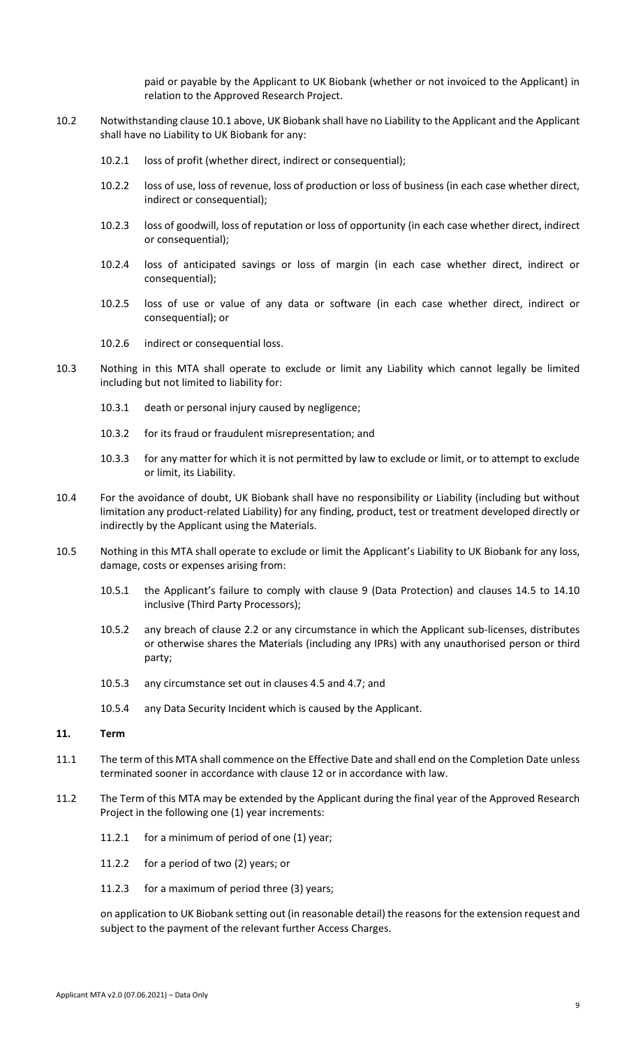paid or payable by the Applicant to UK Biobank (whether or not invoiced to the Applicant) in relation to the Approved Research Project.

- 10.2 Notwithstanding clause 10.1 above, UK Biobank shall have no Liability to the Applicant and the Applicant shall have no Liability to UK Biobank for any:
	- 10.2.1 loss of profit (whether direct, indirect or consequential);
	- 10.2.2 loss of use, loss of revenue, loss of production or loss of business (in each case whether direct, indirect or consequential);
	- 10.2.3 loss of goodwill, loss of reputation or loss of opportunity (in each case whether direct, indirect or consequential);
	- 10.2.4 loss of anticipated savings or loss of margin (in each case whether direct, indirect or consequential);
	- 10.2.5 loss of use or value of any data or software (in each case whether direct, indirect or consequential); or
	- 10.2.6 indirect or consequential loss.
- 10.3 Nothing in this MTA shall operate to exclude or limit any Liability which cannot legally be limited including but not limited to liability for:
	- 10.3.1 death or personal injury caused by negligence;
	- 10.3.2 for its fraud or fraudulent misrepresentation; and
	- 10.3.3 for any matter for which it is not permitted by law to exclude or limit, or to attempt to exclude or limit, its Liability.
- 10.4 For the avoidance of doubt, UK Biobank shall have no responsibility or Liability (including but without limitation any product-related Liability) for any finding, product, test or treatment developed directly or indirectly by the Applicant using the Materials.
- 10.5 Nothing in this MTA shall operate to exclude or limit the Applicant's Liability to UK Biobank for any loss, damage, costs or expenses arising from:
	- 10.5.1 the Applicant's failure to comply with clause 9 (Data Protection) and clauses 14.5 to 14.10 inclusive (Third Party Processors);
	- 10.5.2 any breach of clause 2.2 or any circumstance in which the Applicant sub-licenses, distributes or otherwise shares the Materials (including any IPRs) with any unauthorised person or third party;
	- 10.5.3 any circumstance set out in clauses 4.5 and 4.7; and
	- 10.5.4 any Data Security Incident which is caused by the Applicant.

#### **11. Term**

- 11.1 The term of this MTA shall commence on the Effective Date and shall end on the Completion Date unless terminated sooner in accordance with clause 12 or in accordance with law.
- 11.2 The Term of this MTA may be extended by the Applicant during the final year of the Approved Research Project in the following one (1) year increments:
	- 11.2.1 for a minimum of period of one (1) year;
	- 11.2.2 for a period of two (2) years; or
	- 11.2.3 for a maximum of period three (3) years;

on application to UK Biobank setting out (in reasonable detail) the reasons for the extension request and subject to the payment of the relevant further Access Charges.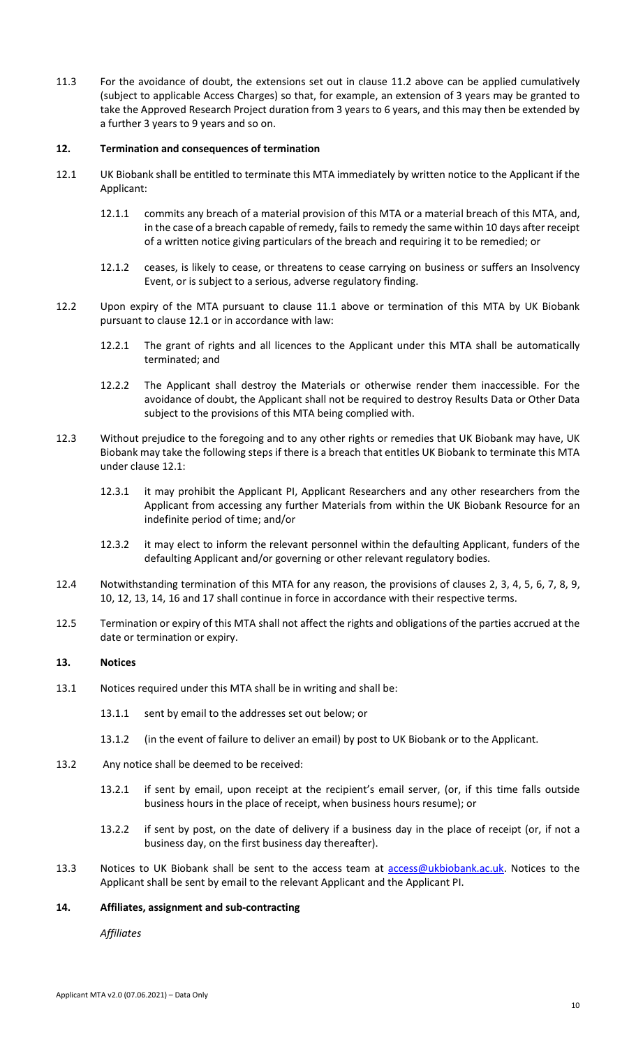11.3 For the avoidance of doubt, the extensions set out in clause 11.2 above can be applied cumulatively (subject to applicable Access Charges) so that, for example, an extension of 3 years may be granted to take the Approved Research Project duration from 3 years to 6 years, and this may then be extended by a further 3 years to 9 years and so on.

#### **12. Termination and consequences of termination**

- 12.1 UK Biobank shall be entitled to terminate this MTA immediately by written notice to the Applicant if the Applicant:
	- 12.1.1 commits any breach of a material provision of this MTA or a material breach of this MTA, and, in the case of a breach capable of remedy, fails to remedy the same within 10 days after receipt of a written notice giving particulars of the breach and requiring it to be remedied; or
	- 12.1.2 ceases, is likely to cease, or threatens to cease carrying on business or suffers an Insolvency Event, or is subject to a serious, adverse regulatory finding.
- 12.2 Upon expiry of the MTA pursuant to clause 11.1 above or termination of this MTA by UK Biobank pursuant to clause 12.1 or in accordance with law:
	- 12.2.1 The grant of rights and all licences to the Applicant under this MTA shall be automatically terminated; and
	- 12.2.2 The Applicant shall destroy the Materials or otherwise render them inaccessible. For the avoidance of doubt, the Applicant shall not be required to destroy Results Data or Other Data subject to the provisions of this MTA being complied with.
- 12.3 Without prejudice to the foregoing and to any other rights or remedies that UK Biobank may have, UK Biobank may take the following steps if there is a breach that entitles UK Biobank to terminate this MTA under clause 12.1:
	- 12.3.1 it may prohibit the Applicant PI, Applicant Researchers and any other researchers from the Applicant from accessing any further Materials from within the UK Biobank Resource for an indefinite period of time; and/or
	- 12.3.2 it may elect to inform the relevant personnel within the defaulting Applicant, funders of the defaulting Applicant and/or governing or other relevant regulatory bodies.
- 12.4 Notwithstanding termination of this MTA for any reason, the provisions of clauses 2, 3, 4, 5, 6, 7, 8, 9, 10, 12, 13, 14, 16 and 17 shall continue in force in accordance with their respective terms.
- 12.5 Termination or expiry of this MTA shall not affect the rights and obligations of the parties accrued at the date or termination or expiry.

### **13. Notices**

- 13.1 Notices required under this MTA shall be in writing and shall be:
	- 13.1.1 sent by email to the addresses set out below; or
	- 13.1.2 (in the event of failure to deliver an email) by post to UK Biobank or to the Applicant.
- 13.2 Any notice shall be deemed to be received:
	- 13.2.1 if sent by email, upon receipt at the recipient's email server, (or, if this time falls outside business hours in the place of receipt, when business hours resume); or
	- 13.2.2 if sent by post, on the date of delivery if a business day in the place of receipt (or, if not a business day, on the first business day thereafter).
- 13.3 Notices to UK Biobank shall be sent to the access team at **access@ukbiobank.ac.uk**. Notices to the Applicant shall be sent by email to the relevant Applicant and the Applicant PI.

### **14. Affiliates, assignment and sub-contracting**

*Affiliates*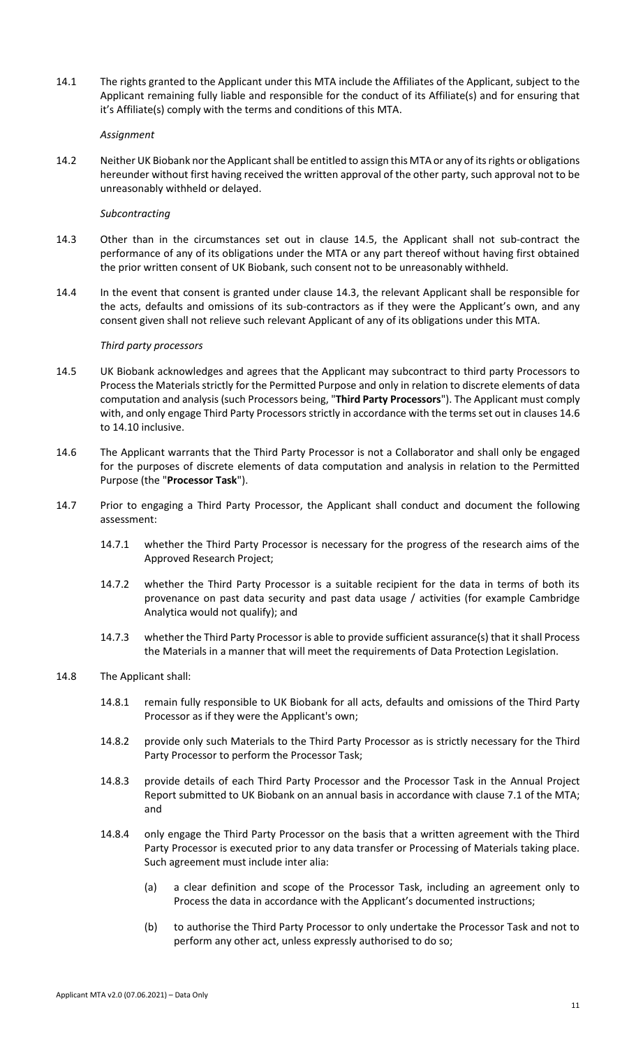14.1 The rights granted to the Applicant under this MTA include the Affiliates of the Applicant, subject to the Applicant remaining fully liable and responsible for the conduct of its Affiliate(s) and for ensuring that it's Affiliate(s) comply with the terms and conditions of this MTA.

#### *Assignment*

14.2 Neither UK Biobank nor the Applicant shall be entitled to assign this MTA or any of its rights or obligations hereunder without first having received the written approval of the other party, such approval not to be unreasonably withheld or delayed.

#### *Subcontracting*

- 14.3 Other than in the circumstances set out in clause 14.5, the Applicant shall not sub-contract the performance of any of its obligations under the MTA or any part thereof without having first obtained the prior written consent of UK Biobank, such consent not to be unreasonably withheld.
- 14.4 In the event that consent is granted under clause 14.3, the relevant Applicant shall be responsible for the acts, defaults and omissions of its sub-contractors as if they were the Applicant's own, and any consent given shall not relieve such relevant Applicant of any of its obligations under this MTA.

#### *Third party processors*

- 14.5 UK Biobank acknowledges and agrees that the Applicant may subcontract to third party Processors to Process the Materials strictly for the Permitted Purpose and only in relation to discrete elements of data computation and analysis (such Processors being, "**Third Party Processors**"). The Applicant must comply with, and only engage Third Party Processors strictly in accordance with the terms set out in clauses 14.6 to 14.10 inclusive.
- 14.6 The Applicant warrants that the Third Party Processor is not a Collaborator and shall only be engaged for the purposes of discrete elements of data computation and analysis in relation to the Permitted Purpose (the "**Processor Task**").
- 14.7 Prior to engaging a Third Party Processor, the Applicant shall conduct and document the following assessment:
	- 14.7.1 whether the Third Party Processor is necessary for the progress of the research aims of the Approved Research Project;
	- 14.7.2 whether the Third Party Processor is a suitable recipient for the data in terms of both its provenance on past data security and past data usage / activities (for example Cambridge Analytica would not qualify); and
	- 14.7.3 whether the Third Party Processor is able to provide sufficient assurance(s) that it shall Process the Materials in a manner that will meet the requirements of Data Protection Legislation.
- 14.8 The Applicant shall:
	- 14.8.1 remain fully responsible to UK Biobank for all acts, defaults and omissions of the Third Party Processor as if they were the Applicant's own;
	- 14.8.2 provide only such Materials to the Third Party Processor as is strictly necessary for the Third Party Processor to perform the Processor Task;
	- 14.8.3 provide details of each Third Party Processor and the Processor Task in the Annual Project Report submitted to UK Biobank on an annual basis in accordance with clause 7.1 of the MTA; and
	- 14.8.4 only engage the Third Party Processor on the basis that a written agreement with the Third Party Processor is executed prior to any data transfer or Processing of Materials taking place. Such agreement must include inter alia:
		- (a) a clear definition and scope of the Processor Task, including an agreement only to Process the data in accordance with the Applicant's documented instructions;
		- (b) to authorise the Third Party Processor to only undertake the Processor Task and not to perform any other act, unless expressly authorised to do so;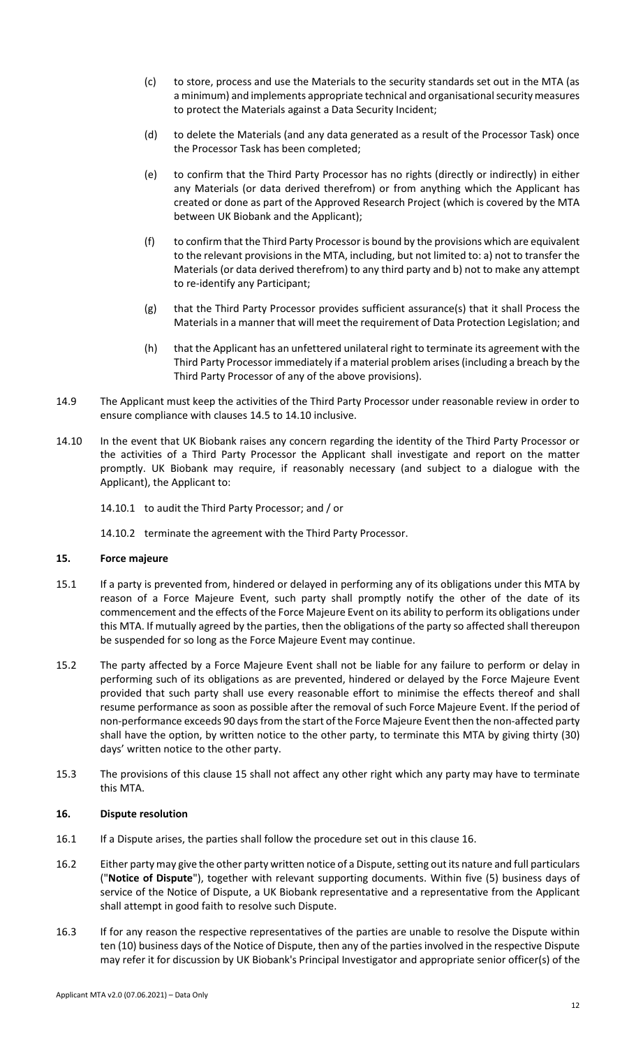- (c) to store, process and use the Materials to the security standards set out in the MTA (as a minimum) and implements appropriate technical and organisational security measures to protect the Materials against a Data Security Incident;
- (d) to delete the Materials (and any data generated as a result of the Processor Task) once the Processor Task has been completed;
- (e) to confirm that the Third Party Processor has no rights (directly or indirectly) in either any Materials (or data derived therefrom) or from anything which the Applicant has created or done as part of the Approved Research Project (which is covered by the MTA between UK Biobank and the Applicant);
- (f) to confirm that the Third Party Processor is bound by the provisions which are equivalent to the relevant provisions in the MTA, including, but not limited to: a) not to transfer the Materials (or data derived therefrom) to any third party and b) not to make any attempt to re-identify any Participant;
- (g) that the Third Party Processor provides sufficient assurance(s) that it shall Process the Materials in a manner that will meet the requirement of Data Protection Legislation; and
- (h) that the Applicant has an unfettered unilateral right to terminate its agreement with the Third Party Processor immediately if a material problem arises (including a breach by the Third Party Processor of any of the above provisions).
- 14.9 The Applicant must keep the activities of the Third Party Processor under reasonable review in order to ensure compliance with clauses 14.5 to 14.10 inclusive.
- 14.10 In the event that UK Biobank raises any concern regarding the identity of the Third Party Processor or the activities of a Third Party Processor the Applicant shall investigate and report on the matter promptly. UK Biobank may require, if reasonably necessary (and subject to a dialogue with the Applicant), the Applicant to:
	- 14.10.1 to audit the Third Party Processor; and / or
	- 14.10.2 terminate the agreement with the Third Party Processor.

### **15. Force majeure**

- 15.1 If a party is prevented from, hindered or delayed in performing any of its obligations under this MTA by reason of a Force Majeure Event, such party shall promptly notify the other of the date of its commencement and the effects of the Force Majeure Event on its ability to perform its obligations under this MTA. If mutually agreed by the parties, then the obligations of the party so affected shall thereupon be suspended for so long as the Force Majeure Event may continue.
- 15.2 The party affected by a Force Majeure Event shall not be liable for any failure to perform or delay in performing such of its obligations as are prevented, hindered or delayed by the Force Majeure Event provided that such party shall use every reasonable effort to minimise the effects thereof and shall resume performance as soon as possible after the removal of such Force Majeure Event. If the period of non-performance exceeds 90 days from the start of the Force Majeure Event then the non-affected party shall have the option, by written notice to the other party, to terminate this MTA by giving thirty (30) days' written notice to the other party.
- 15.3 The provisions of this clause 15 shall not affect any other right which any party may have to terminate this MTA.

### **16. Dispute resolution**

- 16.1 If a Dispute arises, the parties shall follow the procedure set out in this clause 16.
- 16.2 Either party may give the other party written notice of a Dispute, setting out its nature and full particulars ("**Notice of Dispute**"), together with relevant supporting documents. Within five (5) business days of service of the Notice of Dispute, a UK Biobank representative and a representative from the Applicant shall attempt in good faith to resolve such Dispute.
- 16.3 If for any reason the respective representatives of the parties are unable to resolve the Dispute within ten (10) business days of the Notice of Dispute, then any of the parties involved in the respective Dispute may refer it for discussion by UK Biobank's Principal Investigator and appropriate senior officer(s) of the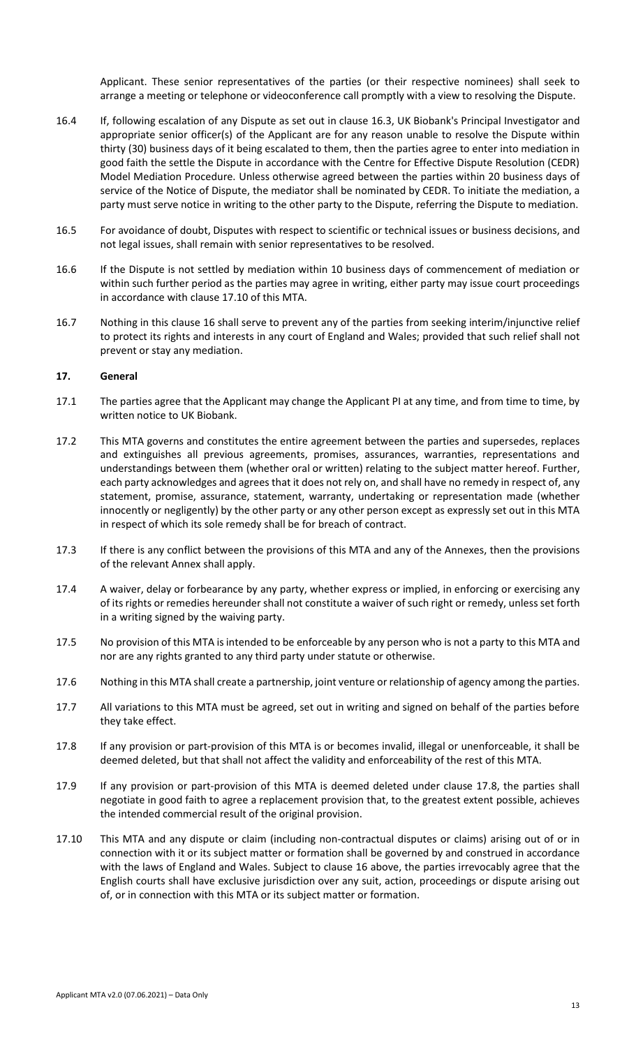Applicant. These senior representatives of the parties (or their respective nominees) shall seek to arrange a meeting or telephone or videoconference call promptly with a view to resolving the Dispute.

- 16.4 If, following escalation of any Dispute as set out in clause 16.3, UK Biobank's Principal Investigator and appropriate senior officer(s) of the Applicant are for any reason unable to resolve the Dispute within thirty (30) business days of it being escalated to them, then the parties agree to enter into mediation in good faith the settle the Dispute in accordance with the Centre for Effective Dispute Resolution (CEDR) Model Mediation Procedure. Unless otherwise agreed between the parties within 20 business days of service of the Notice of Dispute, the mediator shall be nominated by CEDR. To initiate the mediation, a party must serve notice in writing to the other party to the Dispute, referring the Dispute to mediation.
- 16.5 For avoidance of doubt, Disputes with respect to scientific or technical issues or business decisions, and not legal issues, shall remain with senior representatives to be resolved.
- 16.6 If the Dispute is not settled by mediation within 10 business days of commencement of mediation or within such further period as the parties may agree in writing, either party may issue court proceedings in accordance with clause 17.10 of this MTA.
- 16.7 Nothing in this clause 16 shall serve to prevent any of the parties from seeking interim/injunctive relief to protect its rights and interests in any court of England and Wales; provided that such relief shall not prevent or stay any mediation.

#### **17. General**

- 17.1 The parties agree that the Applicant may change the Applicant PI at any time, and from time to time, by written notice to UK Biobank.
- 17.2 This MTA governs and constitutes the entire agreement between the parties and supersedes, replaces and extinguishes all previous agreements, promises, assurances, warranties, representations and understandings between them (whether oral or written) relating to the subject matter hereof. Further, each party acknowledges and agrees that it does not rely on, and shall have no remedy in respect of, any statement, promise, assurance, statement, warranty, undertaking or representation made (whether innocently or negligently) by the other party or any other person except as expressly set out in this MTA in respect of which its sole remedy shall be for breach of contract.
- 17.3 If there is any conflict between the provisions of this MTA and any of the Annexes, then the provisions of the relevant Annex shall apply.
- 17.4 A waiver, delay or forbearance by any party, whether express or implied, in enforcing or exercising any of its rights or remedies hereunder shall not constitute a waiver of such right or remedy, unless set forth in a writing signed by the waiving party.
- 17.5 No provision of this MTA is intended to be enforceable by any person who is not a party to this MTA and nor are any rights granted to any third party under statute or otherwise.
- 17.6 Nothing in this MTA shall create a partnership, joint venture or relationship of agency among the parties.
- 17.7 All variations to this MTA must be agreed, set out in writing and signed on behalf of the parties before they take effect.
- 17.8 If any provision or part-provision of this MTA is or becomes invalid, illegal or unenforceable, it shall be deemed deleted, but that shall not affect the validity and enforceability of the rest of this MTA.
- 17.9 If any provision or part-provision of this MTA is deemed deleted under clause 17.8, the parties shall negotiate in good faith to agree a replacement provision that, to the greatest extent possible, achieves the intended commercial result of the original provision.
- 17.10 This MTA and any dispute or claim (including non-contractual disputes or claims) arising out of or in connection with it or its subject matter or formation shall be governed by and construed in accordance with the laws of England and Wales. Subject to clause 16 above, the parties irrevocably agree that the English courts shall have exclusive jurisdiction over any suit, action, proceedings or dispute arising out of, or in connection with this MTA or its subject matter or formation.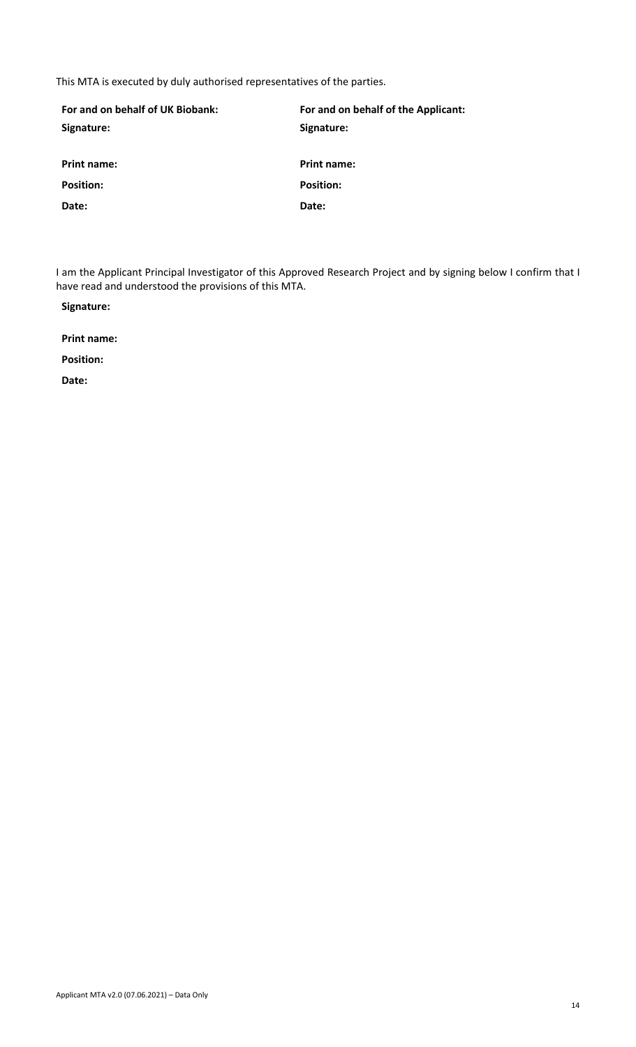This MTA is executed by duly authorised representatives of the parties.

| For and on behalf of UK Biobank: | For and on behalf of the Applicant: |
|----------------------------------|-------------------------------------|
| Signature:                       | Signature:                          |
|                                  |                                     |
| <b>Print name:</b>               | <b>Print name:</b>                  |
| <b>Position:</b>                 | <b>Position:</b>                    |
| Date:                            | Date:                               |

I am the Applicant Principal Investigator of this Approved Research Project and by signing below I confirm that I have read and understood the provisions of this MTA.

**Signature:**

**Print name:**

**Position:**

**Date:**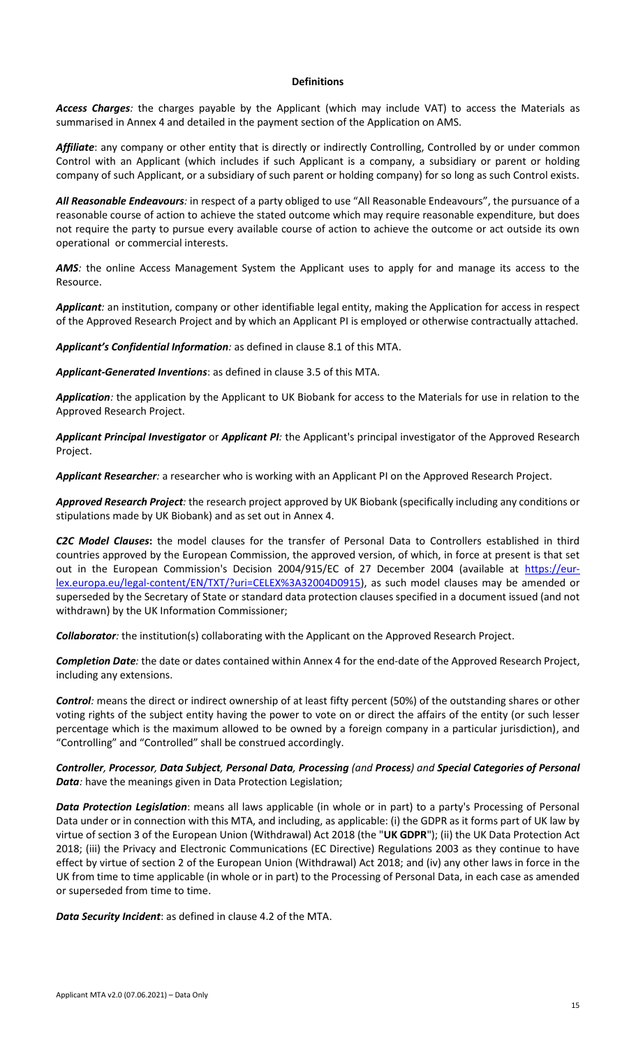#### **Definitions**

*Access Charges:* the charges payable by the Applicant (which may include VAT) to access the Materials as summarised in Annex 4 and detailed in the payment section of the Application on AMS.

Affiliate: any company or other entity that is directly or indirectly Controlling, Controlled by or under common Control with an Applicant (which includes if such Applicant is a company, a subsidiary or parent or holding company of such Applicant, or a subsidiary of such parent or holding company) for so long as such Control exists.

*All Reasonable Endeavours:* in respect of a party obliged to use "All Reasonable Endeavours", the pursuance of a reasonable course of action to achieve the stated outcome which may require reasonable expenditure, but does not require the party to pursue every available course of action to achieve the outcome or act outside its own operational or commercial interests.

AMS: the online Access Management System the Applicant uses to apply for and manage its access to the Resource.

*Applicant:* an institution, company or other identifiable legal entity, making the Application for access in respect of the Approved Research Project and by which an Applicant PI is employed or otherwise contractually attached.

*Applicant's Confidential Information:* as defined in clause 8.1 of this MTA.

*Applicant-Generated Inventions*: as defined in clause 3.5 of this MTA.

*Application:* the application by the Applicant to UK Biobank for access to the Materials for use in relation to the Approved Research Project.

*Applicant Principal Investigator* or *Applicant PI:* the Applicant's principal investigator of the Approved Research Project.

*Applicant Researcher:* a researcher who is working with an Applicant PI on the Approved Research Project.

*Approved Research Project:* the research project approved by UK Biobank (specifically including any conditions or stipulations made by UK Biobank) and as set out in Annex 4.

*C2C Model Clauses***:** the model clauses for the transfer of Personal Data to Controllers established in third countries approved by the European Commission, the approved version, of which, in force at present is that set out in the European Commission's Decision 2004/915/EC of 27 December 2004 (available at [https://eur](https://eur-lex.europa.eu/legal-content/EN/TXT/?uri=CELEX%3A32004D0915)[lex.europa.eu/legal-content/EN/TXT/?uri=CELEX%3A32004D0915\)](https://eur-lex.europa.eu/legal-content/EN/TXT/?uri=CELEX%3A32004D0915), as such model clauses may be amended or superseded by the Secretary of State or standard data protection clauses specified in a document issued (and not withdrawn) by the UK Information Commissioner;

*Collaborator:* the institution(s) collaborating with the Applicant on the Approved Research Project.

*Completion Date:* the date or dates contained within Annex 4 for the end-date of the Approved Research Project, including any extensions.

*Control:* means the direct or indirect ownership of at least fifty percent (50%) of the outstanding shares or other voting rights of the subject entity having the power to vote on or direct the affairs of the entity (or such lesser percentage which is the maximum allowed to be owned by a foreign company in a particular jurisdiction), and "Controlling" and "Controlled" shall be construed accordingly.

*Controller, Processor, Data Subject, Personal Data, Processing (and Process) and Special Categories of Personal Data:* have the meanings given in Data Protection Legislation;

*Data Protection Legislation*: means all laws applicable (in whole or in part) to a party's Processing of Personal Data under or in connection with this MTA, and including, as applicable: (i) the GDPR as it forms part of UK law by virtue of section 3 of the European Union (Withdrawal) Act 2018 (the "**UK GDPR**"); (ii) the UK Data Protection Act 2018; (iii) the Privacy and Electronic Communications (EC Directive) Regulations 2003 as they continue to have effect by virtue of section 2 of the European Union (Withdrawal) Act 2018; and (iv) any other laws in force in the UK from time to time applicable (in whole or in part) to the Processing of Personal Data, in each case as amended or superseded from time to time.

*Data Security Incident*: as defined in clause 4.2 of the MTA.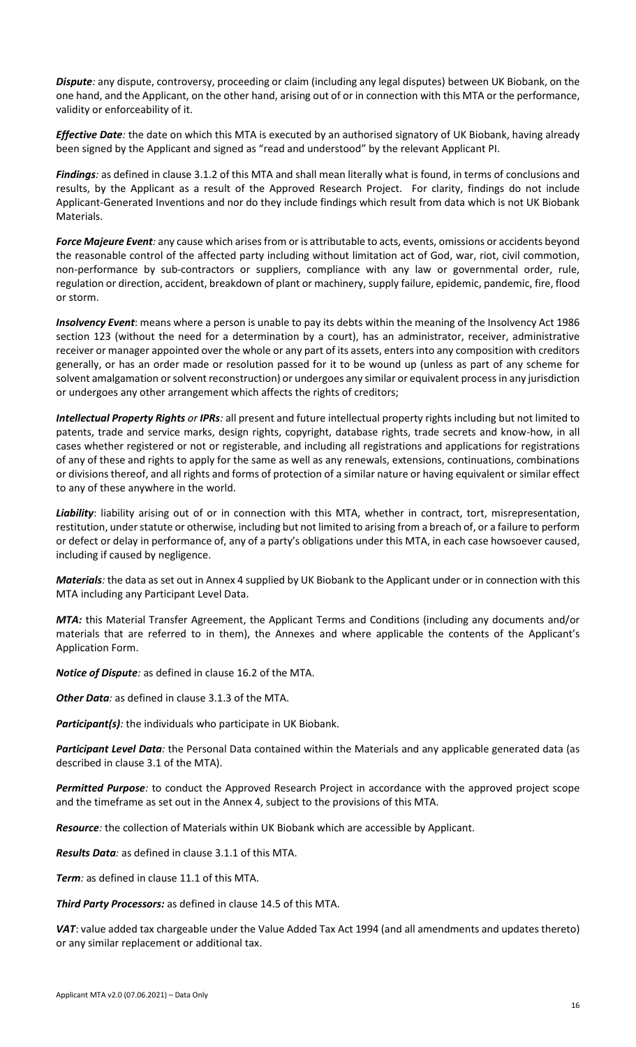*Dispute:* any dispute, controversy, proceeding or claim (including any legal disputes) between UK Biobank, on the one hand, and the Applicant, on the other hand, arising out of or in connection with this MTA or the performance, validity or enforceability of it.

*Effective Date:* the date on which this MTA is executed by an authorised signatory of UK Biobank, having already been signed by the Applicant and signed as "read and understood" by the relevant Applicant PI.

*Findings:* as defined in clause 3.1.2 of this MTA and shall mean literally what is found, in terms of conclusions and results, by the Applicant as a result of the Approved Research Project. For clarity, findings do not include Applicant-Generated Inventions and nor do they include findings which result from data which is not UK Biobank Materials.

*Force Majeure Event:* any cause which arises from or is attributable to acts, events, omissions or accidents beyond the reasonable control of the affected party including without limitation act of God, war, riot, civil commotion, non-performance by sub-contractors or suppliers, compliance with any law or governmental order, rule, regulation or direction, accident, breakdown of plant or machinery, supply failure, epidemic, pandemic, fire, flood or storm.

*Insolvency Event*: means where a person is unable to pay its debts within the meaning of the Insolvency Act 1986 section 123 (without the need for a determination by a court), has an administrator, receiver, administrative receiver or manager appointed over the whole or any part of its assets, enters into any composition with creditors generally, or has an order made or resolution passed for it to be wound up (unless as part of any scheme for solvent amalgamation or solvent reconstruction) or undergoes any similar or equivalent process in any jurisdiction or undergoes any other arrangement which affects the rights of creditors;

*Intellectual Property Rights or IPRs:* all present and future intellectual property rights including but not limited to patents, trade and service marks, design rights, copyright, database rights, trade secrets and know-how, in all cases whether registered or not or registerable, and including all registrations and applications for registrations of any of these and rights to apply for the same as well as any renewals, extensions, continuations, combinations or divisions thereof, and all rights and forms of protection of a similar nature or having equivalent or similar effect to any of these anywhere in the world.

*Liability*: liability arising out of or in connection with this MTA, whether in contract, tort, misrepresentation, restitution, under statute or otherwise, including but not limited to arising from a breach of, or a failure to perform or defect or delay in performance of, any of a party's obligations under this MTA, in each case howsoever caused, including if caused by negligence.

*Materials:* the data as set out in Annex 4 supplied by UK Biobank to the Applicant under or in connection with this MTA including any Participant Level Data.

*MTA:* this Material Transfer Agreement, the Applicant Terms and Conditions (including any documents and/or materials that are referred to in them), the Annexes and where applicable the contents of the Applicant's Application Form.

*Notice of Dispute:* as defined in clause 16.2 of the MTA.

*Other Data:* as defined in clause 3.1.3 of the MTA.

*Participant(s):* the individuals who participate in UK Biobank.

*Participant Level Data:* the Personal Data contained within the Materials and any applicable generated data (as described in clause 3.1 of the MTA).

*Permitted Purpose:* to conduct the Approved Research Project in accordance with the approved project scope and the timeframe as set out in the Annex 4, subject to the provisions of this MTA.

*Resource:* the collection of Materials within UK Biobank which are accessible by Applicant.

*Results Data:* as defined in clause 3.1.1 of this MTA.

*Term:* as defined in clause 11.1 of this MTA.

*Third Party Processors:* as defined in clause 14.5 of this MTA.

*VAT*: value added tax chargeable under the Value Added Tax Act 1994 (and all amendments and updates thereto) or any similar replacement or additional tax.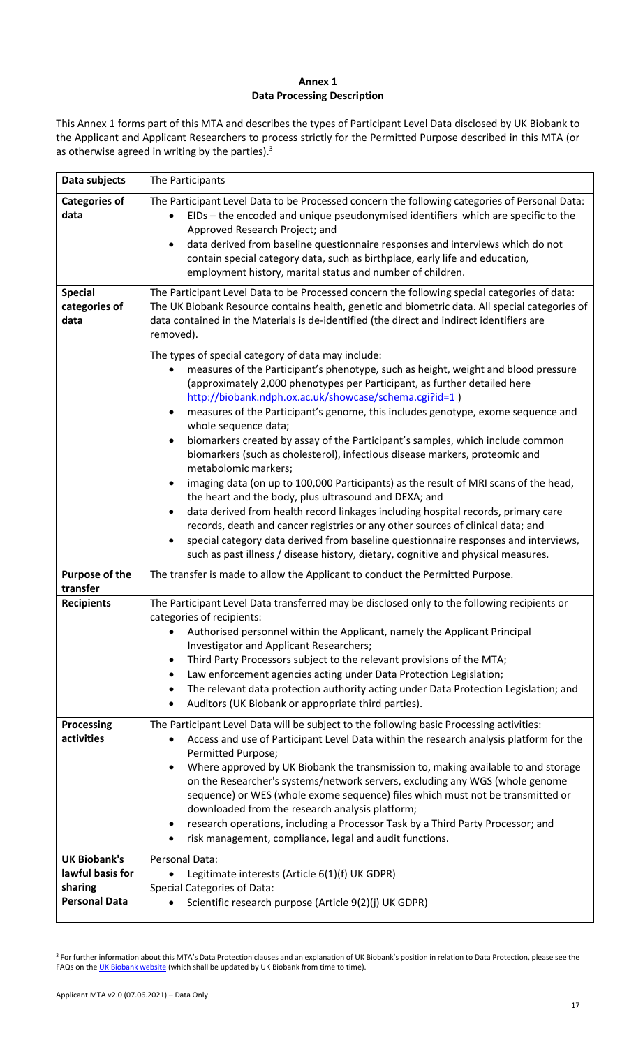# **Annex 1 Data Processing Description**

This Annex 1 forms part of this MTA and describes the types of Participant Level Data disclosed by UK Biobank to the Applicant and Applicant Researchers to process strictly for the Permitted Purpose described in this MTA (or as otherwise agreed in writing by the parties).<sup>3</sup>

| Data subjects                                                              | The Participants                                                                                                                                                                                                                                                                                                                                                                                                                                                                                                                                                                                                                                                                                                                                                                                                                                                                                                                                                                                                                                                                                                                                           |  |  |
|----------------------------------------------------------------------------|------------------------------------------------------------------------------------------------------------------------------------------------------------------------------------------------------------------------------------------------------------------------------------------------------------------------------------------------------------------------------------------------------------------------------------------------------------------------------------------------------------------------------------------------------------------------------------------------------------------------------------------------------------------------------------------------------------------------------------------------------------------------------------------------------------------------------------------------------------------------------------------------------------------------------------------------------------------------------------------------------------------------------------------------------------------------------------------------------------------------------------------------------------|--|--|
| <b>Categories of</b><br>data                                               | The Participant Level Data to be Processed concern the following categories of Personal Data:<br>EIDs - the encoded and unique pseudonymised identifiers which are specific to the<br>Approved Research Project; and<br>data derived from baseline questionnaire responses and interviews which do not<br>contain special category data, such as birthplace, early life and education,<br>employment history, marital status and number of children.                                                                                                                                                                                                                                                                                                                                                                                                                                                                                                                                                                                                                                                                                                       |  |  |
| <b>Special</b><br>categories of<br>data                                    | The Participant Level Data to be Processed concern the following special categories of data:<br>The UK Biobank Resource contains health, genetic and biometric data. All special categories of<br>data contained in the Materials is de-identified (the direct and indirect identifiers are<br>removed).                                                                                                                                                                                                                                                                                                                                                                                                                                                                                                                                                                                                                                                                                                                                                                                                                                                   |  |  |
|                                                                            | The types of special category of data may include:<br>measures of the Participant's phenotype, such as height, weight and blood pressure<br>$\bullet$<br>(approximately 2,000 phenotypes per Participant, as further detailed here<br>http://biobank.ndph.ox.ac.uk/showcase/schema.cgi?id=1)<br>measures of the Participant's genome, this includes genotype, exome sequence and<br>$\bullet$<br>whole sequence data;<br>biomarkers created by assay of the Participant's samples, which include common<br>$\bullet$<br>biomarkers (such as cholesterol), infectious disease markers, proteomic and<br>metabolomic markers;<br>imaging data (on up to 100,000 Participants) as the result of MRI scans of the head,<br>$\bullet$<br>the heart and the body, plus ultrasound and DEXA; and<br>data derived from health record linkages including hospital records, primary care<br>$\bullet$<br>records, death and cancer registries or any other sources of clinical data; and<br>special category data derived from baseline questionnaire responses and interviews,<br>such as past illness / disease history, dietary, cognitive and physical measures. |  |  |
| <b>Purpose of the</b><br>transfer                                          | The transfer is made to allow the Applicant to conduct the Permitted Purpose.                                                                                                                                                                                                                                                                                                                                                                                                                                                                                                                                                                                                                                                                                                                                                                                                                                                                                                                                                                                                                                                                              |  |  |
| <b>Recipients</b>                                                          | The Participant Level Data transferred may be disclosed only to the following recipients or<br>categories of recipients:<br>Authorised personnel within the Applicant, namely the Applicant Principal<br>Investigator and Applicant Researchers;<br>Third Party Processors subject to the relevant provisions of the MTA;<br>$\bullet$<br>Law enforcement agencies acting under Data Protection Legislation;<br>$\bullet$<br>The relevant data protection authority acting under Data Protection Legislation; and<br>$\bullet$<br>Auditors (UK Biobank or appropriate third parties).<br>٠                                                                                                                                                                                                                                                                                                                                                                                                                                                                                                                                                                 |  |  |
| <b>Processing</b><br>activities                                            | The Participant Level Data will be subject to the following basic Processing activities:<br>Access and use of Participant Level Data within the research analysis platform for the<br>Permitted Purpose;<br>Where approved by UK Biobank the transmission to, making available to and storage<br>on the Researcher's systems/network servers, excluding any WGS (whole genome<br>sequence) or WES (whole exome sequence) files which must not be transmitted or<br>downloaded from the research analysis platform;<br>research operations, including a Processor Task by a Third Party Processor; and<br>risk management, compliance, legal and audit functions.<br>٠                                                                                                                                                                                                                                                                                                                                                                                                                                                                                      |  |  |
| <b>UK Biobank's</b><br>lawful basis for<br>sharing<br><b>Personal Data</b> | Personal Data:<br>Legitimate interests (Article 6(1)(f) UK GDPR)<br><b>Special Categories of Data:</b><br>Scientific research purpose (Article 9(2)(j) UK GDPR)                                                                                                                                                                                                                                                                                                                                                                                                                                                                                                                                                                                                                                                                                                                                                                                                                                                                                                                                                                                            |  |  |

<sup>&</sup>lt;sup>3</sup> For further information about this MTA's Data Protection clauses and an explanation of UK Biobank's position in relation to Data Protection, please see the FAQs on th[e UK Biobank website](https://www.ukbiobank.ac.uk/enable-your-research/costs/changes-to-access-fees-faqs) (which shall be updated by UK Biobank from time to time).

 $\overline{\phantom{a}}$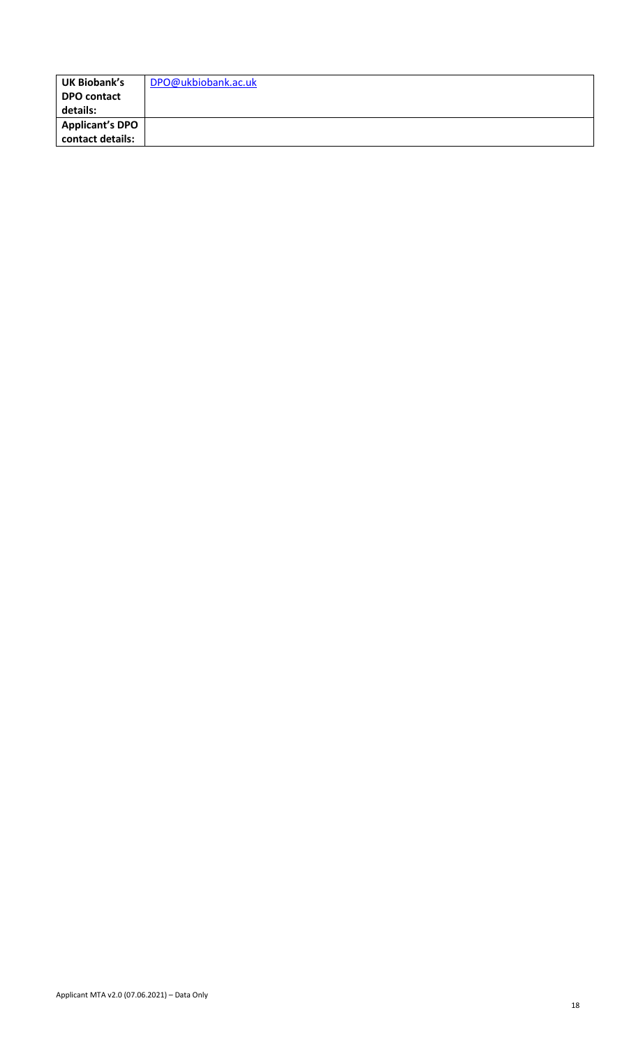| <b>UK Biobank's</b> | DPO@ukbiobank.ac.uk |
|---------------------|---------------------|
| <b>DPO contact</b>  |                     |
| details:            |                     |
| Applicant's DPO     |                     |
| contact details:    |                     |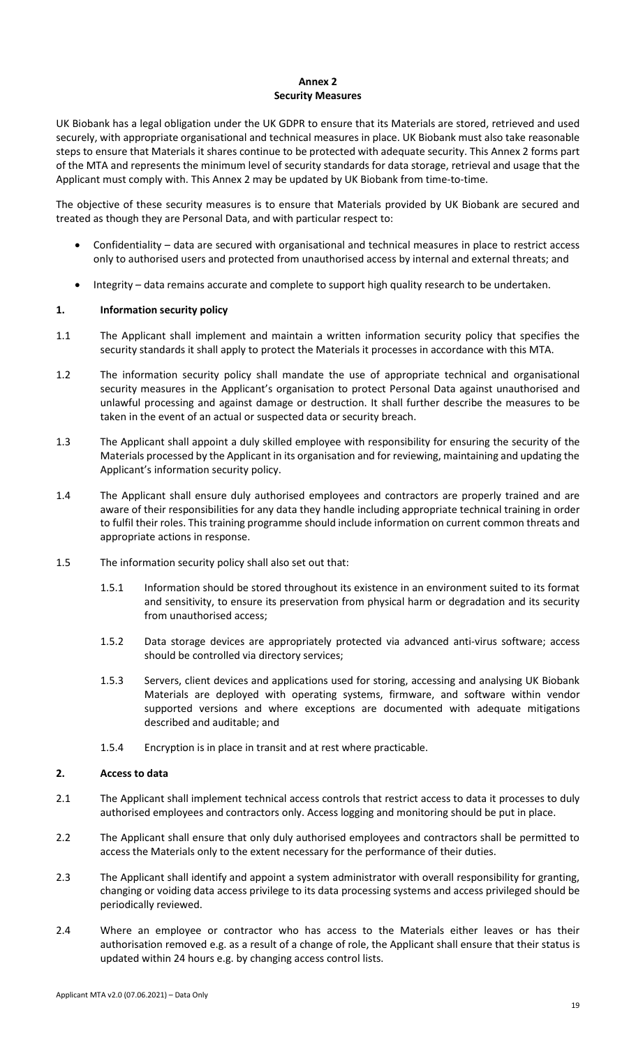### **Annex 2 Security Measures**

UK Biobank has a legal obligation under the UK GDPR to ensure that its Materials are stored, retrieved and used securely, with appropriate organisational and technical measures in place. UK Biobank must also take reasonable steps to ensure that Materials it shares continue to be protected with adequate security. This Annex 2 forms part of the MTA and represents the minimum level of security standards for data storage, retrieval and usage that the Applicant must comply with. This Annex 2 may be updated by UK Biobank from time-to-time.

The objective of these security measures is to ensure that Materials provided by UK Biobank are secured and treated as though they are Personal Data, and with particular respect to:

- Confidentiality data are secured with organisational and technical measures in place to restrict access only to authorised users and protected from unauthorised access by internal and external threats; and
- Integrity data remains accurate and complete to support high quality research to be undertaken.

## **1. Information security policy**

- 1.1 The Applicant shall implement and maintain a written information security policy that specifies the security standards it shall apply to protect the Materials it processes in accordance with this MTA.
- 1.2 The information security policy shall mandate the use of appropriate technical and organisational security measures in the Applicant's organisation to protect Personal Data against unauthorised and unlawful processing and against damage or destruction. It shall further describe the measures to be taken in the event of an actual or suspected data or security breach.
- 1.3 The Applicant shall appoint a duly skilled employee with responsibility for ensuring the security of the Materials processed by the Applicant in its organisation and for reviewing, maintaining and updating the Applicant's information security policy.
- 1.4 The Applicant shall ensure duly authorised employees and contractors are properly trained and are aware of their responsibilities for any data they handle including appropriate technical training in order to fulfil their roles. This training programme should include information on current common threats and appropriate actions in response.
- 1.5 The information security policy shall also set out that:
	- 1.5.1 Information should be stored throughout its existence in an environment suited to its format and sensitivity, to ensure its preservation from physical harm or degradation and its security from unauthorised access;
	- 1.5.2 Data storage devices are appropriately protected via advanced anti-virus software; access should be controlled via directory services;
	- 1.5.3 Servers, client devices and applications used for storing, accessing and analysing UK Biobank Materials are deployed with operating systems, firmware, and software within vendor supported versions and where exceptions are documented with adequate mitigations described and auditable; and
	- 1.5.4 Encryption is in place in transit and at rest where practicable.

## **2. Access to data**

- 2.1 The Applicant shall implement technical access controls that restrict access to data it processes to duly authorised employees and contractors only. Access logging and monitoring should be put in place.
- 2.2 The Applicant shall ensure that only duly authorised employees and contractors shall be permitted to access the Materials only to the extent necessary for the performance of their duties.
- 2.3 The Applicant shall identify and appoint a system administrator with overall responsibility for granting, changing or voiding data access privilege to its data processing systems and access privileged should be periodically reviewed.
- 2.4 Where an employee or contractor who has access to the Materials either leaves or has their authorisation removed e.g. as a result of a change of role, the Applicant shall ensure that their status is updated within 24 hours e.g. by changing access control lists.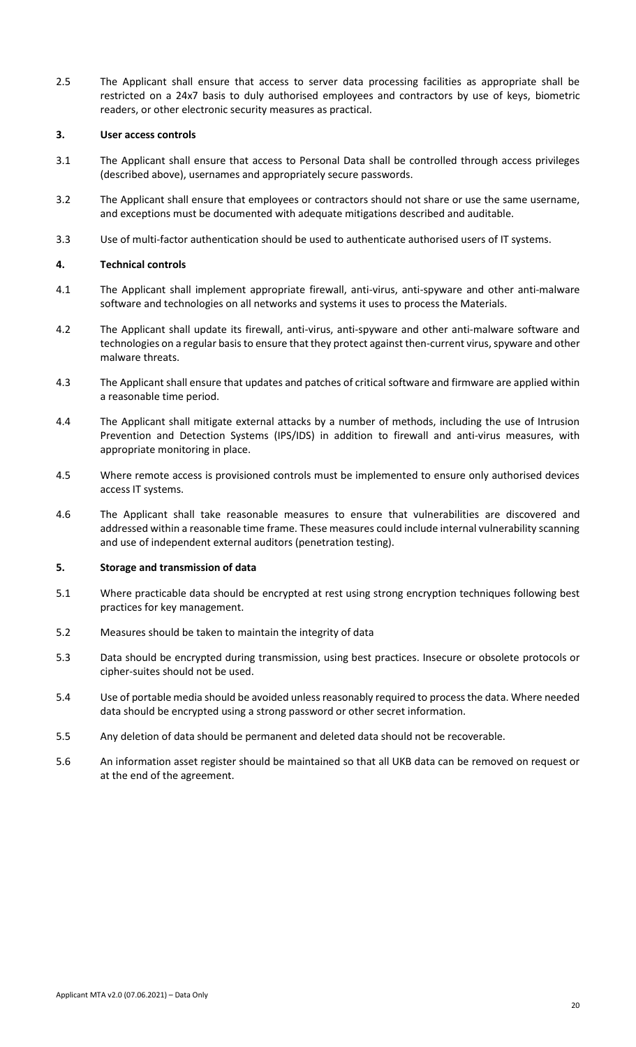2.5 The Applicant shall ensure that access to server data processing facilities as appropriate shall be restricted on a 24x7 basis to duly authorised employees and contractors by use of keys, biometric readers, or other electronic security measures as practical.

### **3. User access controls**

- 3.1 The Applicant shall ensure that access to Personal Data shall be controlled through access privileges (described above), usernames and appropriately secure passwords.
- 3.2 The Applicant shall ensure that employees or contractors should not share or use the same username, and exceptions must be documented with adequate mitigations described and auditable.
- 3.3 Use of multi-factor authentication should be used to authenticate authorised users of IT systems.

### **4. Technical controls**

- 4.1 The Applicant shall implement appropriate firewall, anti-virus, anti-spyware and other anti-malware software and technologies on all networks and systems it uses to process the Materials.
- 4.2 The Applicant shall update its firewall, anti-virus, anti-spyware and other anti-malware software and technologies on a regular basis to ensure that they protect against then-current virus, spyware and other malware threats.
- 4.3 The Applicant shall ensure that updates and patches of critical software and firmware are applied within a reasonable time period.
- 4.4 The Applicant shall mitigate external attacks by a number of methods, including the use of Intrusion Prevention and Detection Systems (IPS/IDS) in addition to firewall and anti-virus measures, with appropriate monitoring in place.
- 4.5 Where remote access is provisioned controls must be implemented to ensure only authorised devices access IT systems.
- 4.6 The Applicant shall take reasonable measures to ensure that vulnerabilities are discovered and addressed within a reasonable time frame. These measures could include internal vulnerability scanning and use of independent external auditors (penetration testing).

### **5. Storage and transmission of data**

- 5.1 Where practicable data should be encrypted at rest using strong encryption techniques following best practices for key management.
- 5.2 Measures should be taken to maintain the integrity of data
- 5.3 Data should be encrypted during transmission, using best practices. Insecure or obsolete protocols or cipher-suites should not be used.
- 5.4 Use of portable media should be avoided unless reasonably required to process the data. Where needed data should be encrypted using a strong password or other secret information.
- 5.5 Any deletion of data should be permanent and deleted data should not be recoverable.
- 5.6 An information asset register should be maintained so that all UKB data can be removed on request or at the end of the agreement.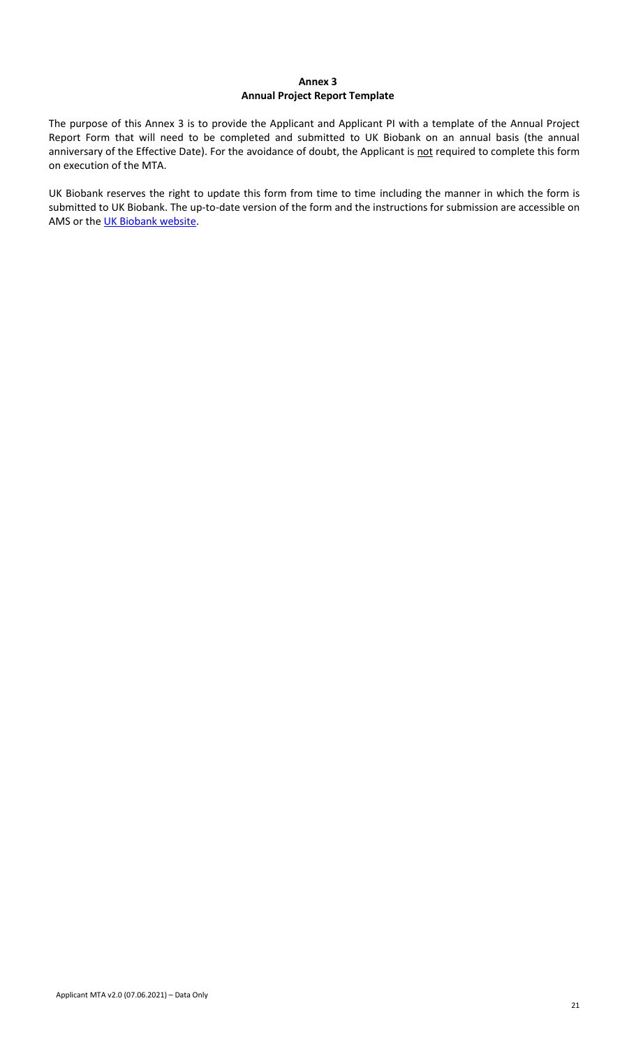# **Annex 3 Annual Project Report Template**

The purpose of this Annex 3 is to provide the Applicant and Applicant PI with a template of the Annual Project Report Form that will need to be completed and submitted to UK Biobank on an annual basis (the annual anniversary of the Effective Date). For the avoidance of doubt, the Applicant is not required to complete this form on execution of the MTA.

UK Biobank reserves the right to update this form from time to time including the manner in which the form is submitted to UK Biobank. The up-to-date version of the form and the instructions for submission are accessible on AMS or the [UK Biobank website.](https://www.ukbiobank.ac.uk/enable-your-research/manage-your-project)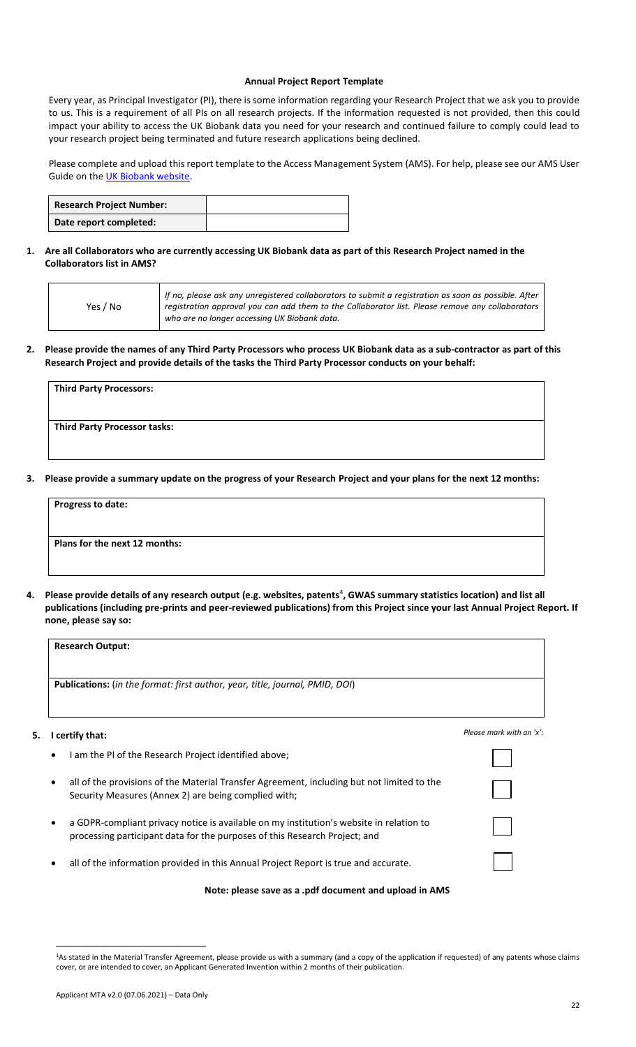#### **Annual Project Report Template**

Every year, as Principal Investigator (PI), there is some information regarding your Research Project that we ask you to provide to us. This is a requirement of all PIs on all research projects. If the information requested is not provided, then this could impact your ability to access the UK Biobank data you need for your research and continued failure to comply could lead to your research project being terminated and future research applications being declined.

Please complete and upload this report template to the Access Management System (AMS). For help, please see our AMS User Guide on the **UK Biobank website**.

| <b>Research Project Number:</b> |  |
|---------------------------------|--|
| Date report completed:          |  |

**1. Are all Collaborators who are currently accessing UK Biobank data as part of this Research Project named in the Collaborators list in AMS?**

| Yes / No<br>who are no longer accessing UK Biobank data. |  | If no, please ask any unregistered collaborators to submit a registration as soon as possible. After<br>registration approval you can add them to the Collaborator list. Please remove any collaborators |
|----------------------------------------------------------|--|----------------------------------------------------------------------------------------------------------------------------------------------------------------------------------------------------------|
|----------------------------------------------------------|--|----------------------------------------------------------------------------------------------------------------------------------------------------------------------------------------------------------|

**2. Please provide the names of any Third Party Processors who process UK Biobank data as a sub-contractor as part of this Research Project and provide details of the tasks the Third Party Processor conducts on your behalf:**

| Third Party Processors:      |  |  |
|------------------------------|--|--|
|                              |  |  |
| Third Party Processor tasks: |  |  |
|                              |  |  |

**3. Please provide a summary update on the progress of your Research Project and your plans for the next 12 months:**

| <b>Progress to date:</b>      |  |  |
|-------------------------------|--|--|
|                               |  |  |
| Plans for the next 12 months: |  |  |
|                               |  |  |
|                               |  |  |

4. Please provide details of any research output (e.g. websites, patents<sup>4</sup>, GWAS summary statistics location) and list all **publications (including pre-prints and peer-reviewed publications) from this Project since your last Annual Project Report. If none, please say so:**

|    | <b>Research Output:</b>                                                                                                                                               |                          |
|----|-----------------------------------------------------------------------------------------------------------------------------------------------------------------------|--------------------------|
|    | <b>Publications:</b> (in the format: first author, year, title, journal, PMID, DOI)                                                                                   |                          |
| 5. | I certify that:                                                                                                                                                       | Please mark with an 'x': |
|    | I am the PI of the Research Project identified above;                                                                                                                 |                          |
|    | all of the provisions of the Material Transfer Agreement, including but not limited to the<br>Security Measures (Annex 2) are being complied with;                    |                          |
|    | a GDPR-compliant privacy notice is available on my institution's website in relation to<br>processing participant data for the purposes of this Research Project; and |                          |
|    | all of the information provided in this Annual Project Report is true and accurate.                                                                                   |                          |
|    | Note: please save as a .pdf document and upload in AMS                                                                                                                |                          |

 $\overline{\phantom{a}}$ <sup>1</sup>As stated in the Material Transfer Agreement, please provide us with a summary (and a copy of the application if requested) of any patents whose claims cover, or are intended to cover, an Applicant Generated Invention within 2 months of their publication.